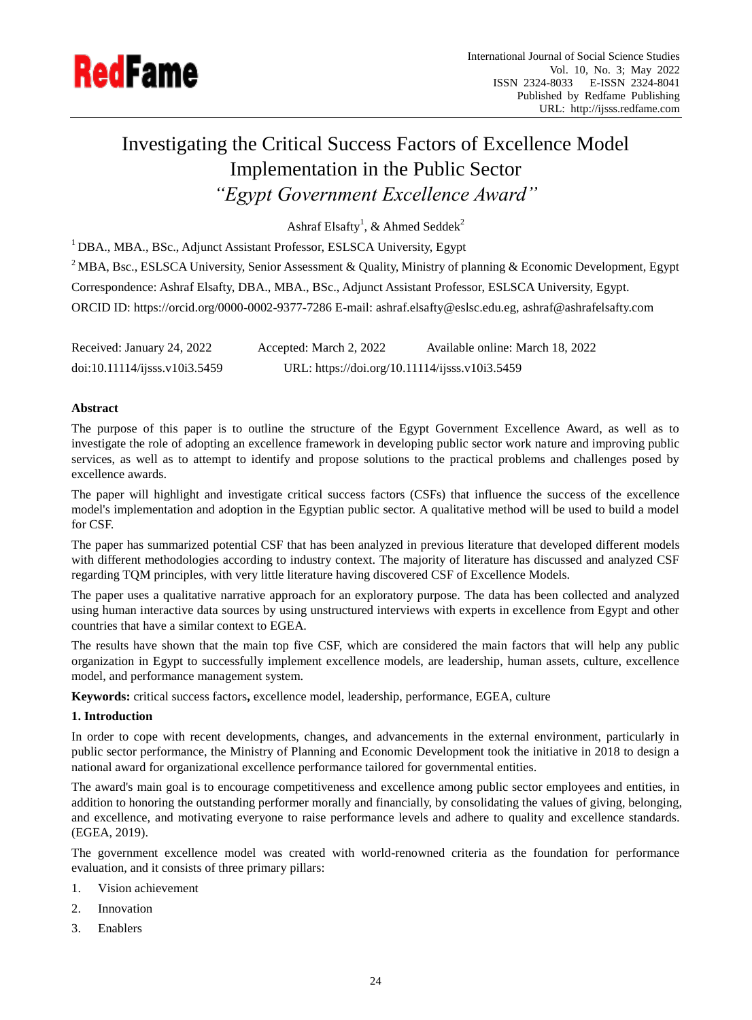

# Investigating the Critical Success Factors of Excellence Model Implementation in the Public Sector *"Egypt Government Excellence Award"*

Ashraf Elsafty<sup>1</sup>, & Ahmed Seddek<sup>2</sup>

<sup>1</sup> DBA., MBA., BSc., Adjunct Assistant Professor, ESLSCA University, Egypt

<sup>2</sup> MBA, Bsc., ESLSCA University, Senior Assessment & Quality, Ministry of planning & Economic Development, Egypt Correspondence: Ashraf Elsafty, DBA., MBA., BSc., Adjunct Assistant Professor, ESLSCA University, Egypt. ORCID ID: https://orcid.org/0000-0002-9377-7286 E-mail: ashraf.elsafty@eslsc.edu.eg, ashraf@ashrafelsafty.com

Received: January 24, 2022 Accepted: March 2, 2022 Available online: March 18, 2022 doi:10.11114/ijsss.v10i3.5459 URL: https://doi.org/10.11114/ijsss.v10i3.5459

## **Abstract**

The purpose of this paper is to outline the structure of the Egypt Government Excellence Award, as well as to investigate the role of adopting an excellence framework in developing public sector work nature and improving public services, as well as to attempt to identify and propose solutions to the practical problems and challenges posed by excellence awards.

The paper will highlight and investigate critical success factors (CSFs) that influence the success of the excellence model's implementation and adoption in the Egyptian public sector. A qualitative method will be used to build a model for CSF.

The paper has summarized potential CSF that has been analyzed in previous literature that developed different models with different methodologies according to industry context. The majority of literature has discussed and analyzed CSF regarding TQM principles, with very little literature having discovered CSF of Excellence Models.

The paper uses a qualitative narrative approach for an exploratory purpose. The data has been collected and analyzed using human interactive data sources by using unstructured interviews with experts in excellence from Egypt and other countries that have a similar context to EGEA.

The results have shown that the main top five CSF, which are considered the main factors that will help any public organization in Egypt to successfully implement excellence models, are leadership, human assets, culture, excellence model, and performance management system.

**Keywords:** critical success factors**,** excellence model, leadership, performance, EGEA, culture

## **1. Introduction**

In order to cope with recent developments, changes, and advancements in the external environment, particularly in public sector performance, the Ministry of Planning and Economic Development took the initiative in 2018 to design a national award for organizational excellence performance tailored for governmental entities.

The award's main goal is to encourage competitiveness and excellence among public sector employees and entities, in addition to honoring the outstanding performer morally and financially, by consolidating the values of giving, belonging, and excellence, and motivating everyone to raise performance levels and adhere to quality and excellence standards. (EGEA, 2019).

The government excellence model was created with world-renowned criteria as the foundation for performance evaluation, and it consists of three primary pillars:

- 1. Vision achievement
- 2. Innovation
- 3. Enablers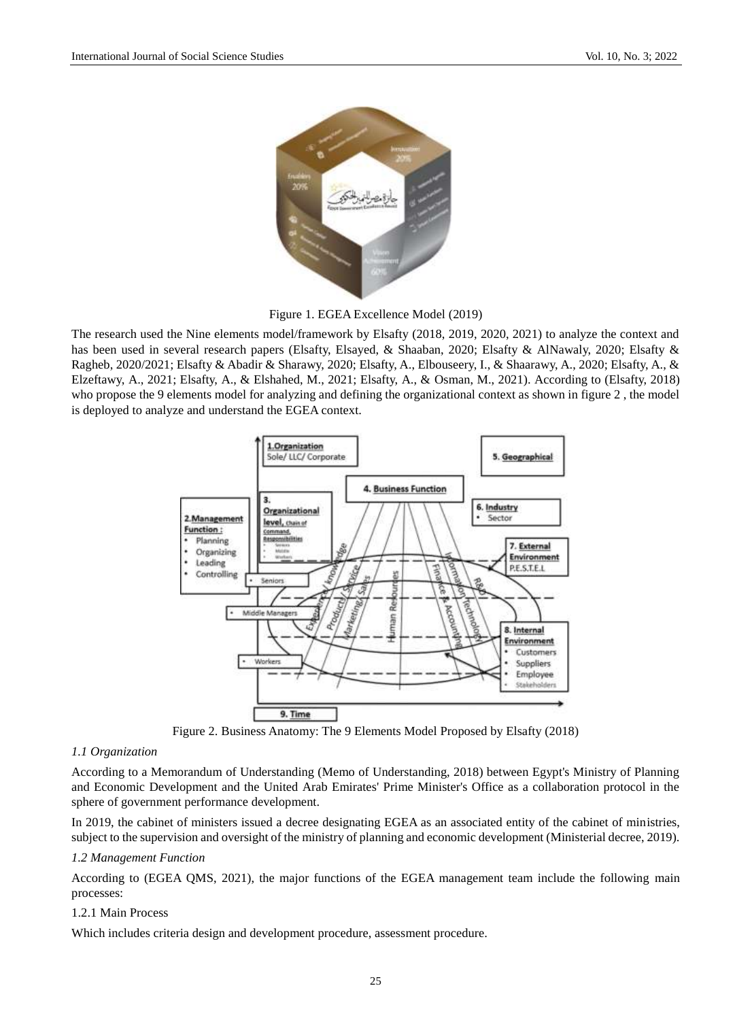

Figure 1. EGEA Excellence Model (2019)

The research used the Nine elements model/framework by Elsafty (2018, 2019, 2020, 2021) to analyze the context and has been used in several research papers (Elsafty, Elsayed, & Shaaban, 2020; Elsafty & AlNawaly, 2020; Elsafty & Ragheb, 2020/2021; Elsafty & Abadir & Sharawy, 2020; Elsafty, A., Elbouseery, I., & Shaarawy, A., 2020; Elsafty, A., & Elzeftawy, A., 2021; Elsafty, A., & Elshahed, M., 2021; Elsafty, A., & Osman, M., 2021). According to (Elsafty, 2018) who propose the 9 elements model for analyzing and defining the organizational context as shown in figure 2, the model is deployed to analyze and understand the EGEA context.



Figure 2. Business Anatomy: The 9 Elements Model Proposed by Elsafty (2018)

#### *1.1 Organization*

According to a Memorandum of Understanding (Memo of Understanding, 2018) between Egypt's Ministry of Planning and Economic Development and the United Arab Emirates' Prime Minister's Office as a collaboration protocol in the sphere of government performance development.

In 2019, the cabinet of ministers issued a decree designating EGEA as an associated entity of the cabinet of ministries, subject to the supervision and oversight of the ministry of planning and economic development (Ministerial decree, 2019).

#### *1.2 Management Function*

According to (EGEA QMS, 2021), the major functions of the EGEA management team include the following main processes:

## 1.2.1 Main Process

Which includes criteria design and development procedure, assessment procedure.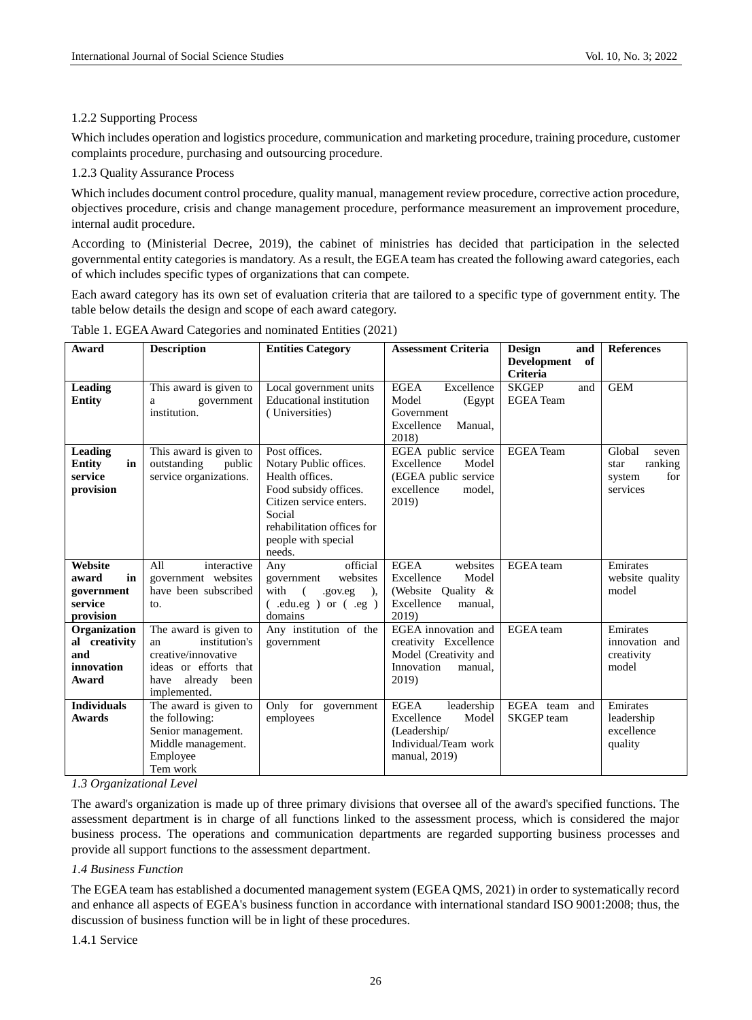## 1.2.2 Supporting Process

Which includes operation and logistics procedure, communication and marketing procedure, training procedure, customer complaints procedure, purchasing and outsourcing procedure.

## 1.2.3 Quality Assurance Process

Which includes document control procedure, quality manual, management review procedure, corrective action procedure, objectives procedure, crisis and change management procedure, performance measurement an improvement procedure, internal audit procedure.

According to (Ministerial Decree, 2019), the cabinet of ministries has decided that participation in the selected governmental entity categories is mandatory. As a result, the EGEA team has created the following award categories, each of which includes specific types of organizations that can compete.

Each award category has its own set of evaluation criteria that are tailored to a specific type of government entity. The table below details the design and scope of each award category.

| Award                                                        | <b>Description</b>                                                                                                                   | <b>Entities Category</b>                                                                                                                                                                | <b>Assessment Criteria</b>                                                                                | Design<br>and<br>of<br><b>Development</b><br>Criteria | <b>References</b>                                               |
|--------------------------------------------------------------|--------------------------------------------------------------------------------------------------------------------------------------|-----------------------------------------------------------------------------------------------------------------------------------------------------------------------------------------|-----------------------------------------------------------------------------------------------------------|-------------------------------------------------------|-----------------------------------------------------------------|
| <b>Leading</b><br><b>Entity</b>                              | This award is given to<br>government<br>a<br>institution.                                                                            | Local government units<br><b>Educational institution</b><br>(Universities)                                                                                                              | <b>EGEA</b><br>Excellence<br>Model<br>(Egypt<br>Government<br>Excellence<br>Manual,<br>2018)              | <b>SKGEP</b><br>and<br><b>EGEA</b> Team               | <b>GEM</b>                                                      |
| <b>Leading</b><br>Entity<br>in<br>service<br>provision       | This award is given to<br>outstanding<br>public<br>service organizations.                                                            | Post offices.<br>Notary Public offices.<br>Health offices.<br>Food subsidy offices.<br>Citizen service enters.<br>Social<br>rehabilitation offices for<br>people with special<br>needs. | EGEA public service<br>Excellence<br>Model<br>(EGEA public service)<br>excellence<br>model,<br>2019)      | <b>EGEA</b> Team                                      | Global<br>seven<br>ranking<br>star<br>for<br>system<br>services |
| Website<br>in<br>award<br>government<br>service<br>provision | All<br>interactive<br>government websites<br>have been subscribed<br>to.                                                             | official<br>Any<br>websites<br>government<br>with<br>$\sqrt{ }$<br>$.gov. eg$ ),<br>$($ .edu.eg $)$ or $($ .eg $)$<br>domains                                                           | <b>EGEA</b><br>websites<br>Excellence<br>Model<br>(Website Quality $\&$<br>Excellence<br>manual.<br>2019) | EGEA team                                             | Emirates<br>website quality<br>model                            |
| Organization<br>al creativity<br>and<br>innovation<br>Award  | The award is given to<br>institution's<br>an<br>creative/innovative<br>ideas or efforts that<br>already been<br>have<br>implemented. | Any institution of the<br>government                                                                                                                                                    | EGEA innovation and<br>creativity Excellence<br>Model (Creativity and<br>Innovation<br>manual.<br>2019)   | EGEA team                                             | Emirates<br>innovation and<br>creativity<br>model               |
| <b>Individuals</b><br><b>Awards</b>                          | The award is given to<br>the following:<br>Senior management.<br>Middle management.<br>Employee<br>Tem work                          | Only for government<br>employees                                                                                                                                                        | <b>EGEA</b><br>leadership<br>Excellence<br>Model<br>(Leadership/<br>Individual/Team work<br>manual, 2019) | EGEA team and<br><b>SKGEP</b> team                    | Emirates<br>leadership<br>excellence<br>quality                 |

Table 1. EGEA Award Categories and nominated Entities (2021)

*1.3 Organizational Level*

The award's organization is made up of three primary divisions that oversee all of the award's specified functions. The assessment department is in charge of all functions linked to the assessment process, which is considered the major business process. The operations and communication departments are regarded supporting business processes and provide all support functions to the assessment department.

## *1.4 Business Function*

The EGEA team has established a documented management system (EGEA QMS, 2021) in order to systematically record and enhance all aspects of EGEA's business function in accordance with international standard ISO 9001:2008; thus, the discussion of business function will be in light of these procedures.

1.4.1 Service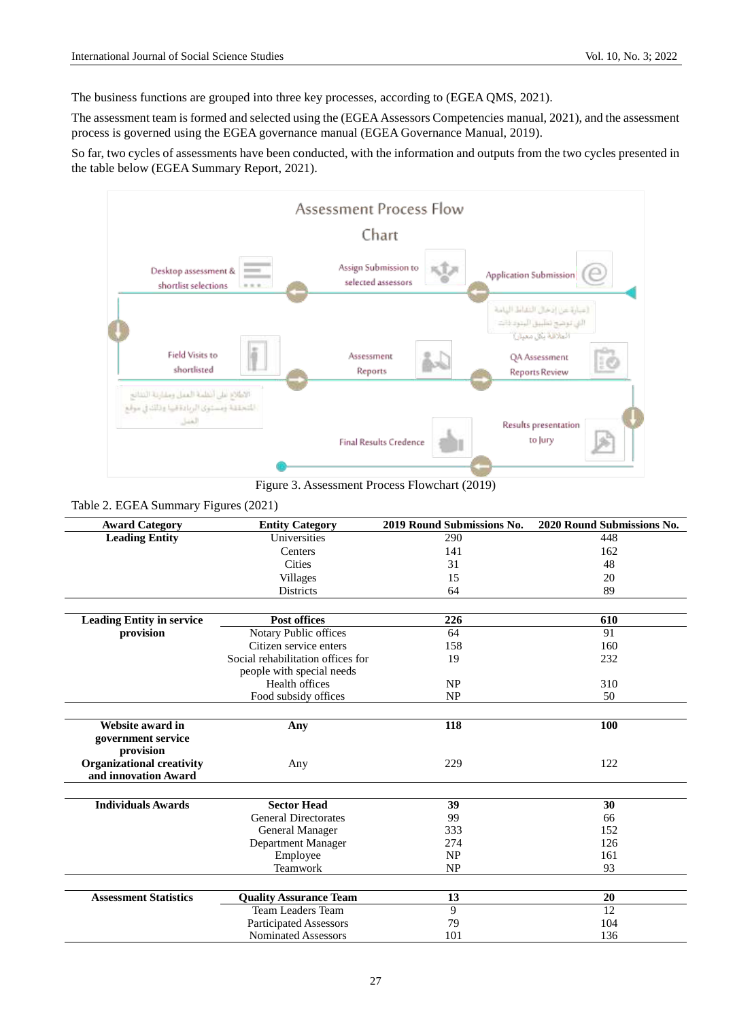The business functions are grouped into three key processes, according to (EGEA QMS, 2021).

The assessment team is formed and selected using the (EGEA Assessors Competencies manual, 2021), and the assessment process is governed using the EGEA governance manual (EGEA Governance Manual, 2019).

So far, two cycles of assessments have been conducted, with the information and outputs from the two cycles presented in the table below (EGEA Summary Report, 2021).



Figure 3. Assessment Process Flowchart (2019)

| <b>Award Category</b>            | <b>Entity Category</b>            | 2019 Round Submissions No. | 2020 Round Submissions No. |
|----------------------------------|-----------------------------------|----------------------------|----------------------------|
| <b>Leading Entity</b>            | Universities                      | 290                        | 448                        |
|                                  | Centers                           | 141                        | 162                        |
|                                  | Cities                            | 31                         | 48                         |
|                                  | <b>Villages</b>                   | 15                         | 20                         |
|                                  | <b>Districts</b>                  | 64                         | 89                         |
|                                  |                                   |                            |                            |
| <b>Leading Entity in service</b> | <b>Post offices</b>               | 226                        | 610                        |
| provision                        | Notary Public offices             | 64                         | 91                         |
|                                  | Citizen service enters            | 158                        | 160                        |
|                                  | Social rehabilitation offices for | 19                         | 232                        |
|                                  | people with special needs         |                            |                            |
|                                  | Health offices                    | NP                         | 310                        |
|                                  | Food subsidy offices              | NP                         | 50                         |
|                                  |                                   |                            |                            |
| Website award in                 | Any                               | 118                        | 100                        |
| government service<br>provision  |                                   |                            |                            |
| <b>Organizational creativity</b> | Any                               | 229                        | 122                        |
| and innovation Award             |                                   |                            |                            |
| <b>Individuals Awards</b>        | <b>Sector Head</b>                | 39                         | 30                         |
|                                  | <b>General Directorates</b>       | 99                         | 66                         |
|                                  |                                   | 333                        | 152                        |
|                                  | General Manager                   | 274                        | 126                        |
|                                  | Department Manager                |                            |                            |
|                                  | Employee                          | <b>NP</b>                  | 161                        |
|                                  | Teamwork                          | <b>NP</b>                  | 93                         |
| <b>Assessment Statistics</b>     | <b>Quality Assurance Team</b>     | 13                         | 20                         |
|                                  | Team Leaders Team                 | 9                          | 12                         |
|                                  | <b>Participated Assessors</b>     | 79                         | 104                        |
|                                  | <b>Nominated Assessors</b>        | 101                        | 136                        |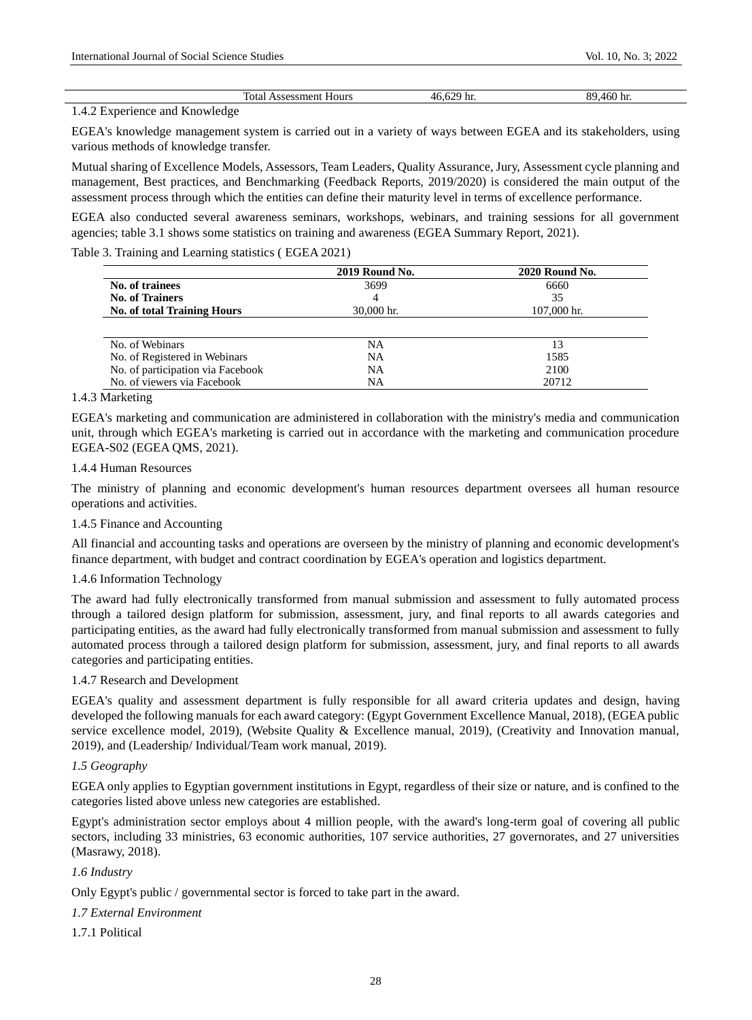| otal<br>Hours<br>~~<br>аенг<br>33 L<br>$\mathbf{r}$ | n c<br>$\mathbf{u}$<br>$\cdots$<br>. . | n. |
|-----------------------------------------------------|----------------------------------------|----|
|                                                     |                                        |    |

#### 1.4.2 Experience and Knowledge

EGEA's knowledge management system is carried out in a variety of ways between EGEA and its stakeholders, using various methods of knowledge transfer.

Mutual sharing of Excellence Models, Assessors, Team Leaders, Quality Assurance, Jury, Assessment cycle planning and management, Best practices, and Benchmarking (Feedback Reports, 2019/2020) is considered the main output of the assessment process through which the entities can define their maturity level in terms of excellence performance.

EGEA also conducted several awareness seminars, workshops, webinars, and training sessions for all government agencies; table 3.1 shows some statistics on training and awareness (EGEA Summary Report, 2021).

Table 3. Training and Learning statistics ( EGEA 2021)

|                                    | <b>2019 Round No.</b> | 2020 Round No. |
|------------------------------------|-----------------------|----------------|
| No. of trainees                    | 3699                  | 6660           |
| <b>No. of Trainers</b>             |                       | 35             |
| <b>No. of total Training Hours</b> | $30,000$ hr.          | 107,000 hr.    |
| No. of Webinars                    | NA                    | 13             |
| No. of Registered in Webinars      | <b>NA</b>             | 1585           |
| No. of participation via Facebook  | <b>NA</b>             | 2100           |
| No. of viewers via Facebook        | NA                    | 20712          |

#### 1.4.3 Marketing

EGEA's marketing and communication are administered in collaboration with the ministry's media and communication unit, through which EGEA's marketing is carried out in accordance with the marketing and communication procedure EGEA-S02 (EGEA QMS, 2021).

## 1.4.4 Human Resources

The ministry of planning and economic development's human resources department oversees all human resource operations and activities.

## 1.4.5 Finance and Accounting

All financial and accounting tasks and operations are overseen by the ministry of planning and economic development's finance department, with budget and contract coordination by EGEA's operation and logistics department.

## 1.4.6 Information Technology

The award had fully electronically transformed from manual submission and assessment to fully automated process through a tailored design platform for submission, assessment, jury, and final reports to all awards categories and participating entities, as the award had fully electronically transformed from manual submission and assessment to fully automated process through a tailored design platform for submission, assessment, jury, and final reports to all awards categories and participating entities.

#### 1.4.7 Research and Development

EGEA's quality and assessment department is fully responsible for all award criteria updates and design, having developed the following manuals for each award category: (Egypt Government Excellence Manual, 2018), (EGEA public service excellence model, 2019), (Website Quality & Excellence manual, 2019), (Creativity and Innovation manual, 2019), and (Leadership/ Individual/Team work manual, 2019).

## *1.5 Geography*

EGEA only applies to Egyptian government institutions in Egypt, regardless of their size or nature, and is confined to the categories listed above unless new categories are established.

Egypt's administration sector employs about 4 million people, with the award's long-term goal of covering all public sectors, including 33 ministries, 63 economic authorities, 107 service authorities, 27 governorates, and 27 universities (Masrawy, 2018).

## *1.6 Industry*

Only Egypt's public / governmental sector is forced to take part in the award.

## *1.7 External Environment*

1.7.1 Political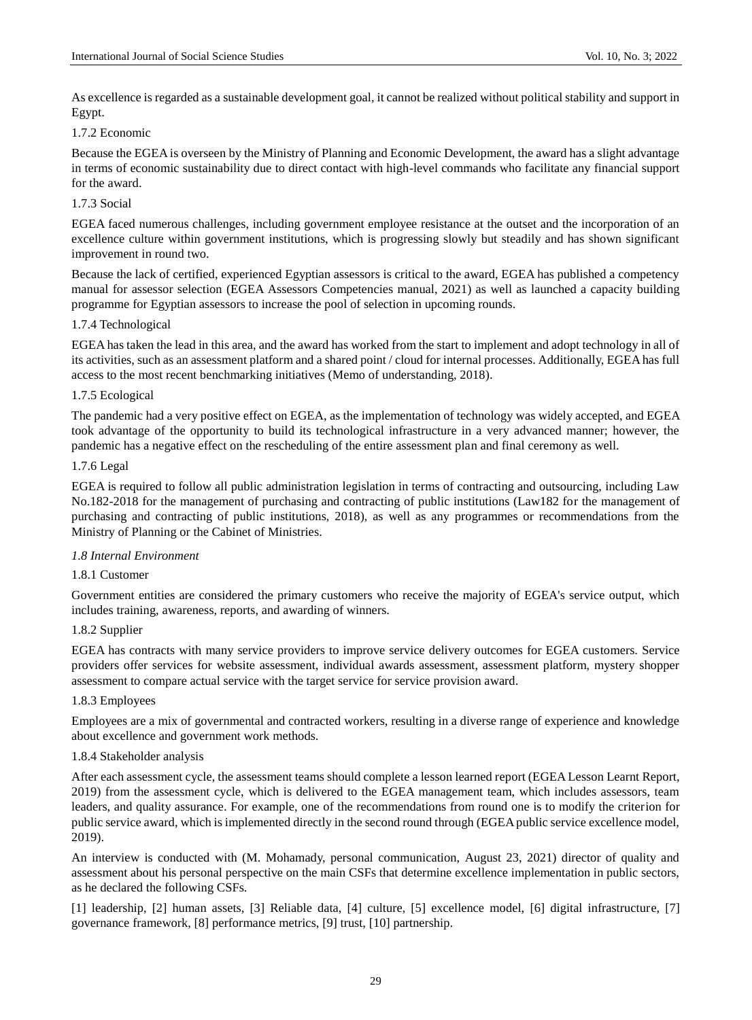As excellence is regarded as a sustainable development goal, it cannot be realized without political stability and support in Egypt.

#### 1.7.2 Economic

Because the EGEA is overseen by the Ministry of Planning and Economic Development, the award has a slight advantage in terms of economic sustainability due to direct contact with high-level commands who facilitate any financial support for the award.

## 1.7.3 Social

EGEA faced numerous challenges, including government employee resistance at the outset and the incorporation of an excellence culture within government institutions, which is progressing slowly but steadily and has shown significant improvement in round two.

Because the lack of certified, experienced Egyptian assessors is critical to the award, EGEA has published a competency manual for assessor selection (EGEA Assessors Competencies manual, 2021) as well as launched a capacity building programme for Egyptian assessors to increase the pool of selection in upcoming rounds.

## 1.7.4 Technological

EGEA has taken the lead in this area, and the award has worked from the start to implement and adopt technology in all of its activities, such as an assessment platform and a shared point / cloud for internal processes. Additionally, EGEA has full access to the most recent benchmarking initiatives (Memo of understanding, 2018).

## 1.7.5 Ecological

The pandemic had a very positive effect on EGEA, as the implementation of technology was widely accepted, and EGEA took advantage of the opportunity to build its technological infrastructure in a very advanced manner; however, the pandemic has a negative effect on the rescheduling of the entire assessment plan and final ceremony as well.

#### 1.7.6 Legal

EGEA is required to follow all public administration legislation in terms of contracting and outsourcing, including Law No.182-2018 for the management of purchasing and contracting of public institutions (Law182 for the management of purchasing and contracting of public institutions, 2018), as well as any programmes or recommendations from the Ministry of Planning or the Cabinet of Ministries.

## *1.8 Internal Environment*

## 1.8.1 Customer

Government entities are considered the primary customers who receive the majority of EGEA's service output, which includes training, awareness, reports, and awarding of winners.

#### 1.8.2 Supplier

EGEA has contracts with many service providers to improve service delivery outcomes for EGEA customers. Service providers offer services for website assessment, individual awards assessment, assessment platform, mystery shopper assessment to compare actual service with the target service for service provision award.

## 1.8.3 Employees

Employees are a mix of governmental and contracted workers, resulting in a diverse range of experience and knowledge about excellence and government work methods.

#### 1.8.4 Stakeholder analysis

After each assessment cycle, the assessment teams should complete a lesson learned report (EGEA Lesson Learnt Report, 2019) from the assessment cycle, which is delivered to the EGEA management team, which includes assessors, team leaders, and quality assurance. For example, one of the recommendations from round one is to modify the criterion for public service award, which is implemented directly in the second round through (EGEA public service excellence model, 2019).

An interview is conducted with (M. Mohamady, personal communication, August 23, 2021) director of quality and assessment about his personal perspective on the main CSFs that determine excellence implementation in public sectors, as he declared the following CSFs.

[1] leadership, [2] human assets, [3] Reliable data, [4] culture, [5] excellence model, [6] digital infrastructure, [7] governance framework, [8] performance metrics, [9] trust, [10] partnership.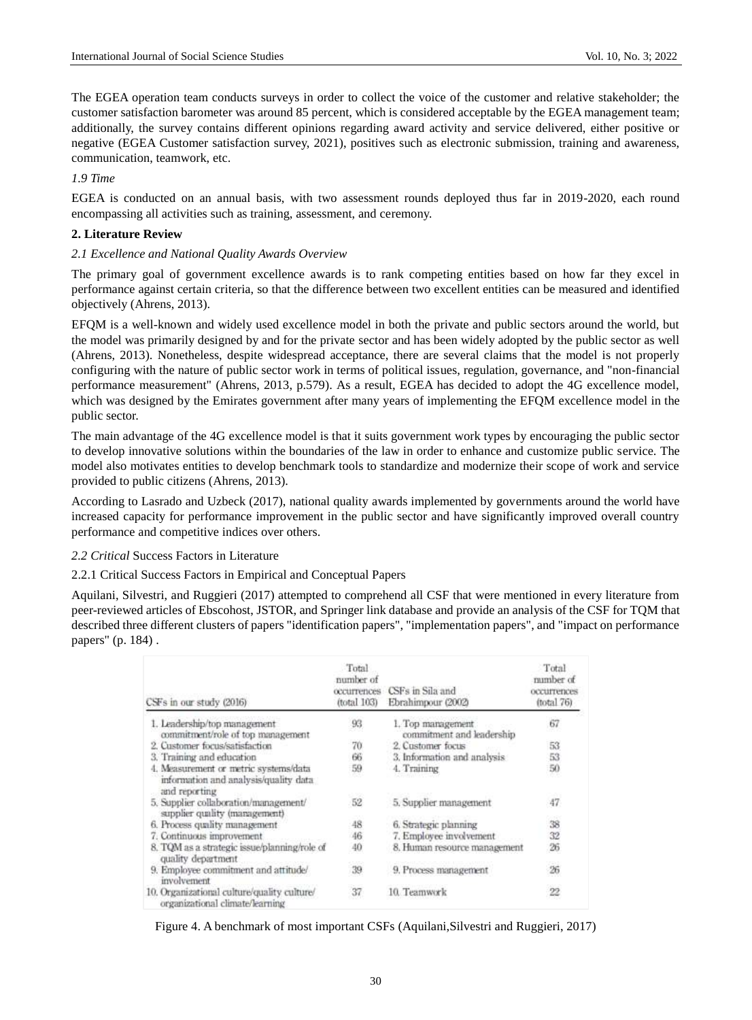The EGEA operation team conducts surveys in order to collect the voice of the customer and relative stakeholder; the customer satisfaction barometer was around 85 percent, which is considered acceptable by the EGEA management team; additionally, the survey contains different opinions regarding award activity and service delivered, either positive or negative (EGEA Customer satisfaction survey, 2021), positives such as electronic submission, training and awareness, communication, teamwork, etc.

*1.9 Time*

EGEA is conducted on an annual basis, with two assessment rounds deployed thus far in 2019-2020, each round encompassing all activities such as training, assessment, and ceremony.

#### **2. Literature Review**

#### *2.1 Excellence and National Quality Awards Overview*

The primary goal of government excellence awards is to rank competing entities based on how far they excel in performance against certain criteria, so that the difference between two excellent entities can be measured and identified objectively (Ahrens, 2013).

EFQM is a well-known and widely used excellence model in both the private and public sectors around the world, but the model was primarily designed by and for the private sector and has been widely adopted by the public sector as well (Ahrens, 2013). Nonetheless, despite widespread acceptance, there are several claims that the model is not properly configuring with the nature of public sector work in terms of political issues, regulation, governance, and "non-financial performance measurement" (Ahrens, 2013, p.579). As a result, EGEA has decided to adopt the 4G excellence model, which was designed by the Emirates government after many years of implementing the EFQM excellence model in the public sector.

The main advantage of the 4G excellence model is that it suits government work types by encouraging the public sector to develop innovative solutions within the boundaries of the law in order to enhance and customize public service. The model also motivates entities to develop benchmark tools to standardize and modernize their scope of work and service provided to public citizens (Ahrens, 2013).

According to Lasrado and Uzbeck (2017), national quality awards implemented by governments around the world have increased capacity for performance improvement in the public sector and have significantly improved overall country performance and competitive indices over others.

## *2.2 Critical* Success Factors in Literature

## 2.2.1 Critical Success Factors in Empirical and Conceptual Papers

Aquilani, Silvestri, and Ruggieri (2017) attempted to comprehend all CSF that were mentioned in every literature from peer-reviewed articles of Ebscohost, JSTOR, and Springer link database and provide an analysis of the CSF for TQM that described three different clusters of papers "identification papers", "implementation papers", and "impact on performance papers" (p. 184) .

| CSFs in our study (2016)                                                                        | Total<br>number of<br>occurrences<br>(total 103) | CSFs in Sila and<br>Ebrahimpour (2002)         | Total<br>number of<br>occurrences<br>$ftotal$ $76$ ) |
|-------------------------------------------------------------------------------------------------|--------------------------------------------------|------------------------------------------------|------------------------------------------------------|
| 1. Leadership/top management<br>commitment/role of top management                               | 93                                               | 1. Top management<br>commitment and leadership | 67                                                   |
| 2. Customer focus/satisfaction                                                                  | 70                                               | 2. Customer focus                              | 53                                                   |
| 3. Training and education                                                                       | 66                                               | 3. Information and analysis                    | 53                                                   |
| 4. Measurement or metric systems/data<br>information and analysis/quality data<br>and reporting | 59                                               | 4. Training                                    | 50                                                   |
| 5. Supplier collaboration/management/<br>supplier quality (management)                          | 52                                               | 5. Supplier management                         | 47                                                   |
| 6. Process quality management                                                                   | 48                                               | 6. Strategic planning                          | 38                                                   |
| 7. Continuous improvement                                                                       | 46                                               | 7. Employee involvement                        | 32                                                   |
| 8. TQM as a strategic issue/planning/role of<br>quality department                              | 40<br><b>CONTE</b>                               | 8. Human resource management                   | 26                                                   |
| 9. Employee commitment and attitude/<br>involvement                                             | 39                                               | 9. Process management                          | 26                                                   |
| 10. Organizational culture/quality culture/<br>organizational climate/learning                  | 37                                               | 10. Teamwork                                   | $^{22}$                                              |

Figure 4. A benchmark of most important CSFs (Aquilani,Silvestri and Ruggieri, 2017)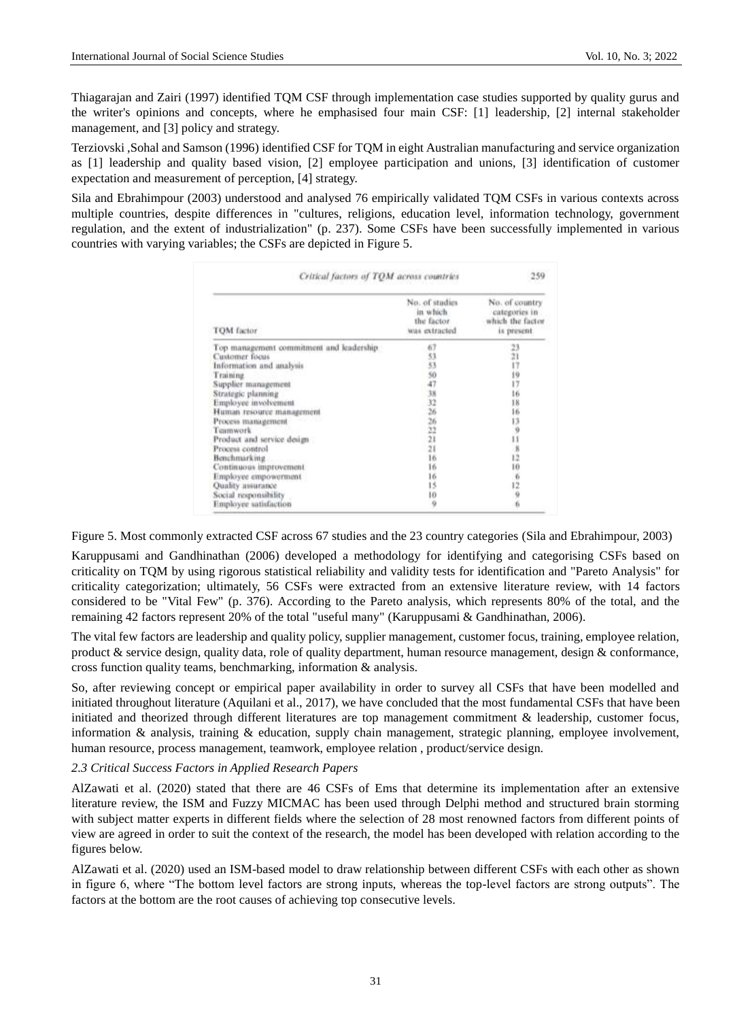Thiagarajan and Zairi (1997) identified TQM CSF through implementation case studies supported by quality gurus and the writer's opinions and concepts, where he emphasised four main CSF: [1] leadership, [2] internal stakeholder management, and [3] policy and strategy.

Terziovski ,Sohal and Samson (1996) identified CSF for TQM in eight Australian manufacturing and service organization as [1] leadership and quality based vision, [2] employee participation and unions, [3] identification of customer expectation and measurement of perception, [4] strategy.

Sila and Ebrahimpour (2003) understood and analysed 76 empirically validated TQM CSFs in various contexts across multiple countries, despite differences in "cultures, religions, education level, information technology, government regulation, and the extent of industrialization" (p. 237). Some CSFs have been successfully implemented in various countries with varying variables; the CSFs are depicted in Figure 5.

| TOM factor                               | No. of studies<br>in which.<br>the factor.<br>was extracted | No. of country<br>categories in<br>which the factor<br>is present. |
|------------------------------------------|-------------------------------------------------------------|--------------------------------------------------------------------|
| Top management commitment and leadership | 67                                                          |                                                                    |
| Customer focus                           |                                                             |                                                                    |
| Information and analysis                 | 53<br>53                                                    |                                                                    |
| Fraining                                 | 94731231116                                                 | 23,21,17,19,17,16,18,16,15,19,17,18,17,19,17,18,17,18,17,18,12,10  |
| Supplier management                      |                                                             |                                                                    |
| Strategic planning                       |                                                             |                                                                    |
| Employee involvement.                    |                                                             |                                                                    |
| Human resource management                |                                                             |                                                                    |
| Process management                       |                                                             |                                                                    |
| Teamwork                                 |                                                             |                                                                    |
| Product and service design               |                                                             |                                                                    |
| Process control                          |                                                             |                                                                    |
|                                          |                                                             |                                                                    |
| Continuous improvement.                  | 16                                                          |                                                                    |
| Employee empowerment                     | 16                                                          | 0.106                                                              |
| Quality assurance                        | 15                                                          |                                                                    |
| Social responsibility                    | 10                                                          |                                                                    |
| Employee satisfaction                    | ö                                                           | 6                                                                  |

Figure 5. Most commonly extracted CSF across 67 studies and the 23 country categories (Sila and Ebrahimpour, 2003)

Karuppusami and Gandhinathan (2006) developed a methodology for identifying and categorising CSFs based on criticality on TQM by using rigorous statistical reliability and validity tests for identification and "Pareto Analysis" for criticality categorization; ultimately, 56 CSFs were extracted from an extensive literature review, with 14 factors considered to be "Vital Few" (p. 376). According to the Pareto analysis, which represents 80% of the total, and the remaining 42 factors represent 20% of the total "useful many" (Karuppusami & Gandhinathan, 2006).

The vital few factors are leadership and quality policy, supplier management, customer focus, training, employee relation, product & service design, quality data, role of quality department, human resource management, design & conformance, cross function quality teams, benchmarking, information & analysis.

So, after reviewing concept or empirical paper availability in order to survey all CSFs that have been modelled and initiated throughout literature (Aquilani et al., 2017), we have concluded that the most fundamental CSFs that have been initiated and theorized through different literatures are top management commitment & leadership, customer focus, information & analysis, training & education, supply chain management, strategic planning, employee involvement, human resource, process management, teamwork, employee relation , product/service design.

## *2.3 Critical Success Factors in Applied Research Papers*

AlZawati et al. (2020) stated that there are 46 CSFs of Ems that determine its implementation after an extensive literature review, the ISM and Fuzzy MICMAC has been used through Delphi method and structured brain storming with subject matter experts in different fields where the selection of 28 most renowned factors from different points of view are agreed in order to suit the context of the research, the model has been developed with relation according to the figures below.

AlZawati et al. (2020) used an ISM-based model to draw relationship between different CSFs with each other as shown in figure 6, where "The bottom level factors are strong inputs, whereas the top-level factors are strong outputs". The factors at the bottom are the root causes of achieving top consecutive levels.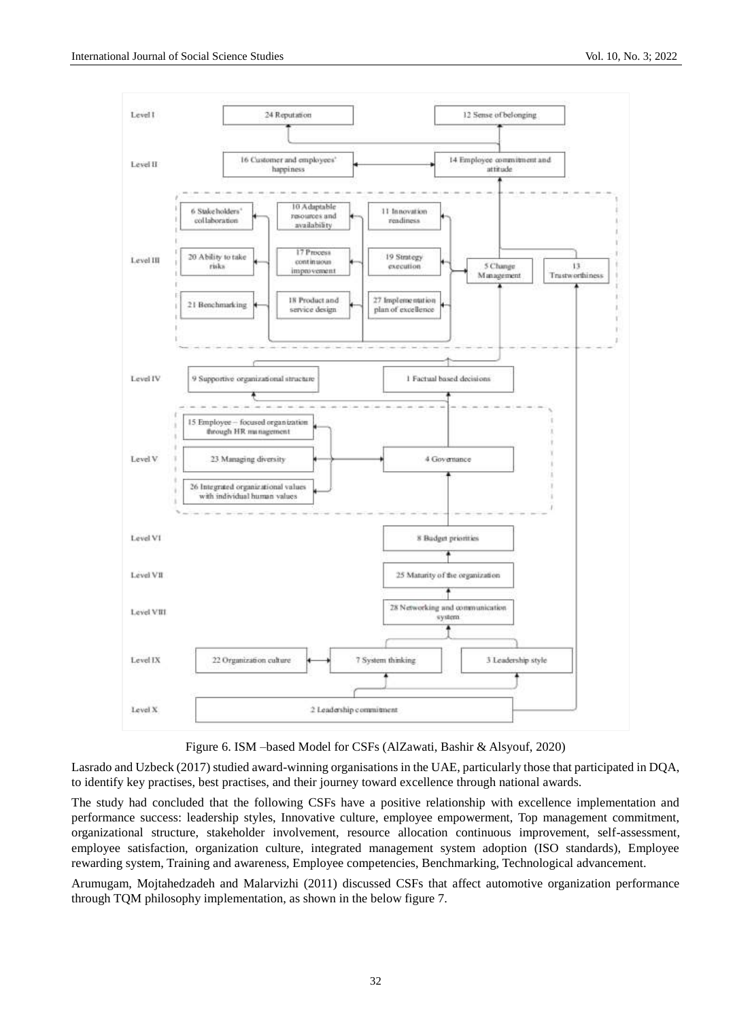



Lasrado and Uzbeck (2017) studied award-winning organisations in the UAE, particularly those that participated in DQA, to identify key practises, best practises, and their journey toward excellence through national awards.

The study had concluded that the following CSFs have a positive relationship with excellence implementation and performance success: leadership styles, Innovative culture, employee empowerment, Top management commitment, organizational structure, stakeholder involvement, resource allocation continuous improvement, self-assessment, employee satisfaction, organization culture, integrated management system adoption (ISO standards), Employee rewarding system, Training and awareness, Employee competencies, Benchmarking, Technological advancement.

Arumugam, Mojtahedzadeh and Malarvizhi (2011) discussed CSFs that affect automotive organization performance through TQM philosophy implementation, as shown in the below figure 7.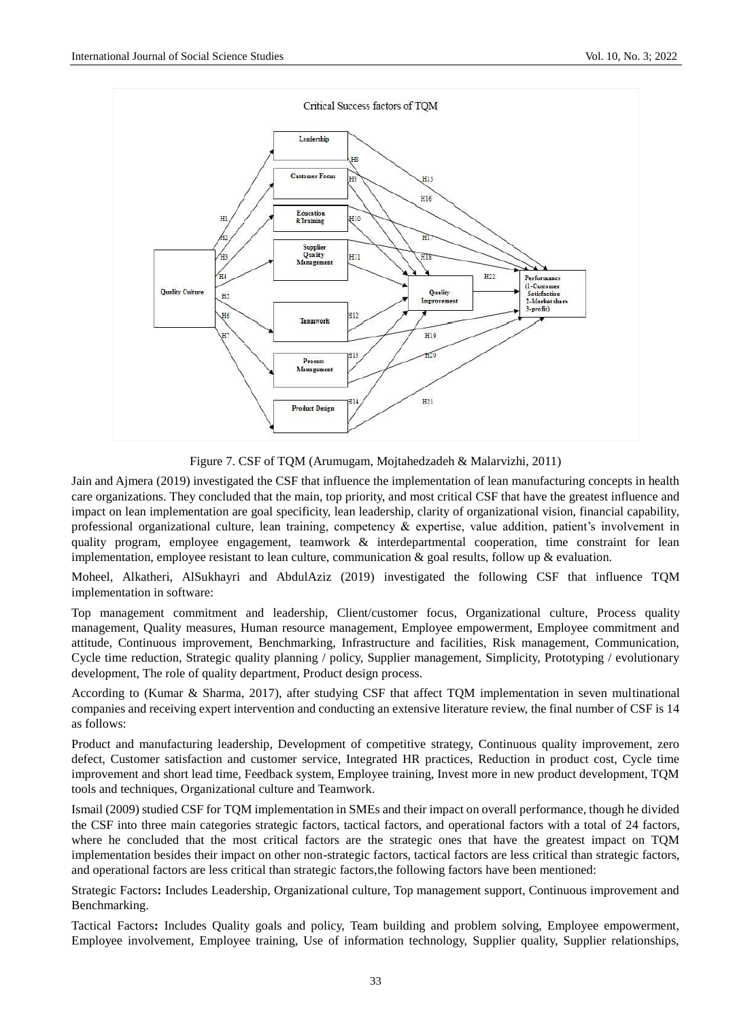

Figure 7. CSF of TQM (Arumugam, Mojtahedzadeh & Malarvizhi, 2011)

Jain and Ajmera (2019) investigated the CSF that influence the implementation of lean manufacturing concepts in health care organizations. They concluded that the main, top priority, and most critical CSF that have the greatest influence and impact on lean implementation are goal specificity, lean leadership, clarity of organizational vision, financial capability, professional organizational culture, lean training, competency & expertise, value addition, patient's involvement in quality program, employee engagement, teamwork & interdepartmental cooperation, time constraint for lean implementation, employee resistant to lean culture, communication  $\&$  goal results, follow up  $\&$  evaluation.

Moheel, Alkatheri, AlSukhayri and AbdulAziz (2019) investigated the following CSF that influence TQM implementation in software:

Top management commitment and leadership, Client/customer focus, Organizational culture, Process quality management, Quality measures, Human resource management, Employee empowerment, Employee commitment and attitude, Continuous improvement, Benchmarking, Infrastructure and facilities, Risk management, Communication, Cycle time reduction, Strategic quality planning / policy, Supplier management, Simplicity, Prototyping / evolutionary development, The role of quality department, Product design process.

According to (Kumar & Sharma, 2017), after studying CSF that affect TQM implementation in seven multinational companies and receiving expert intervention and conducting an extensive literature review, the final number of CSF is 14 as follows:

Product and manufacturing leadership, Development of competitive strategy, Continuous quality improvement, zero defect, Customer satisfaction and customer service, Integrated HR practices, Reduction in product cost, Cycle time improvement and short lead time, Feedback system, Employee training, Invest more in new product development, TQM tools and techniques, Organizational culture and Teamwork.

Ismail (2009) studied CSF for TQM implementation in SMEs and their impact on overall performance, though he divided the CSF into three main categories strategic factors, tactical factors, and operational factors with a total of 24 factors, where he concluded that the most critical factors are the strategic ones that have the greatest impact on TQM implementation besides their impact on other non-strategic factors, tactical factors are less critical than strategic factors, and operational factors are less critical than strategic factors,the following factors have been mentioned:

Strategic Factors**:** Includes Leadership, Organizational culture, Top management support, Continuous improvement and Benchmarking.

Tactical Factors**:** Includes Quality goals and policy, Team building and problem solving, Employee empowerment, Employee involvement, Employee training, Use of information technology, Supplier quality, Supplier relationships,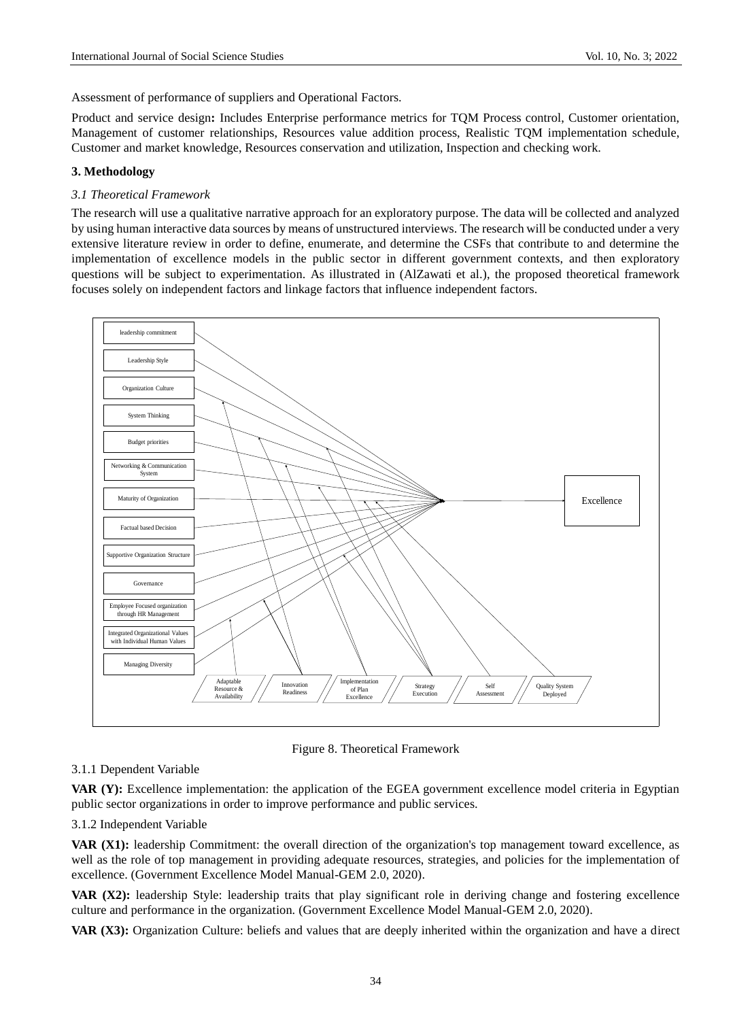Assessment of performance of suppliers and Operational Factors.

Product and service design**:** Includes Enterprise performance metrics for TQM Process control, Customer orientation, Management of customer relationships, Resources value addition process, Realistic TQM implementation schedule, Customer and market knowledge, Resources conservation and utilization, Inspection and checking work.

## **3. Methodology**

#### *3.1 Theoretical Framework*

The research will use a qualitative narrative approach for an exploratory purpose. The data will be collected and analyzed by using human interactive data sources by means of unstructured interviews. The research will be conducted under a very extensive literature review in order to define, enumerate, and determine the CSFs that contribute to and determine the implementation of excellence models in the public sector in different government contexts, and then exploratory questions will be subject to experimentation. As illustrated in (AlZawati et al.), the proposed theoretical framework focuses solely on independent factors and linkage factors that influence independent factors.



Figure 8. Theoretical Framework

## 3.1.1 Dependent Variable

**VAR (Y):** Excellence implementation: the application of the EGEA government excellence model criteria in Egyptian public sector organizations in order to improve performance and public services.

3.1.2 Independent Variable

**VAR (X1):** leadership Commitment: the overall direction of the organization's top management toward excellence, as well as the role of top management in providing adequate resources, strategies, and policies for the implementation of excellence. (Government Excellence Model Manual-GEM 2.0, 2020).

**VAR (X2):** leadership Style: leadership traits that play significant role in deriving change and fostering excellence culture and performance in the organization. (Government Excellence Model Manual-GEM 2.0, 2020).

**VAR (X3):** Organization Culture: beliefs and values that are deeply inherited within the organization and have a direct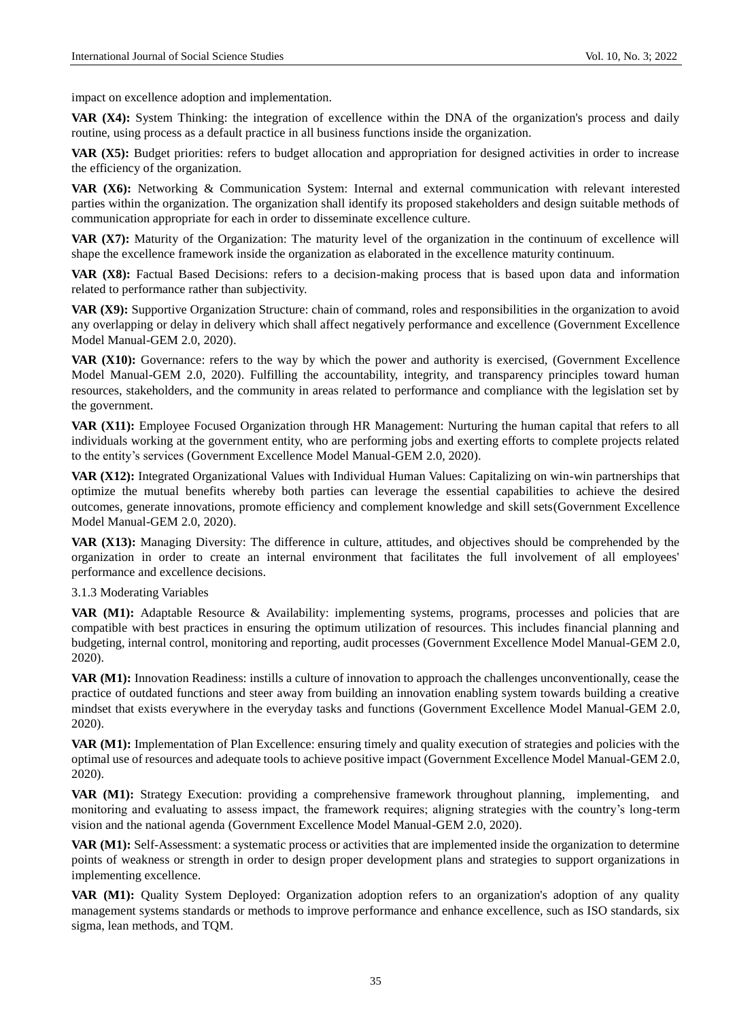impact on excellence adoption and implementation.

**VAR (X4):** System Thinking: the integration of excellence within the DNA of the organization's process and daily routine, using process as a default practice in all business functions inside the organization.

**VAR (X5):** Budget priorities: refers to budget allocation and appropriation for designed activities in order to increase the efficiency of the organization.

**VAR (X6):** Networking & Communication System: Internal and external communication with relevant interested parties within the organization. The organization shall identify its proposed stakeholders and design suitable methods of communication appropriate for each in order to disseminate excellence culture.

**VAR (X7):** Maturity of the Organization: The maturity level of the organization in the continuum of excellence will shape the excellence framework inside the organization as elaborated in the excellence maturity continuum.

**VAR (X8):** Factual Based Decisions: refers to a decision-making process that is based upon data and information related to performance rather than subjectivity.

**VAR (X9):** Supportive Organization Structure: chain of command, roles and responsibilities in the organization to avoid any overlapping or delay in delivery which shall affect negatively performance and excellence (Government Excellence Model Manual-GEM 2.0, 2020).

**VAR (X10):** Governance: refers to the way by which the power and authority is exercised, (Government Excellence Model Manual-GEM 2.0, 2020). Fulfilling the accountability, integrity, and transparency principles toward human resources, stakeholders, and the community in areas related to performance and compliance with the legislation set by the government.

**VAR (X11):** Employee Focused Organization through HR Management: Nurturing the human capital that refers to all individuals working at the government entity, who are performing jobs and exerting efforts to complete projects related to the entity's services (Government Excellence Model Manual-GEM 2.0, 2020).

**VAR (X12):** Integrated Organizational Values with Individual Human Values: Capitalizing on win-win partnerships that optimize the mutual benefits whereby both parties can leverage the essential capabilities to achieve the desired outcomes, generate innovations, promote efficiency and complement knowledge and skill sets(Government Excellence Model Manual-GEM 2.0, 2020).

**VAR (X13):** Managing Diversity: The difference in culture, attitudes, and objectives should be comprehended by the organization in order to create an internal environment that facilitates the full involvement of all employees' performance and excellence decisions.

3.1.3 Moderating Variables

VAR (M1): Adaptable Resource & Availability: implementing systems, programs, processes and policies that are compatible with best practices in ensuring the optimum utilization of resources. This includes financial planning and budgeting, internal control, monitoring and reporting, audit processes (Government Excellence Model Manual-GEM 2.0, 2020).

**VAR (M1):** Innovation Readiness: instills a culture of innovation to approach the challenges unconventionally, cease the practice of outdated functions and steer away from building an innovation enabling system towards building a creative mindset that exists everywhere in the everyday tasks and functions (Government Excellence Model Manual-GEM 2.0, 2020).

**VAR (M1):** Implementation of Plan Excellence: ensuring timely and quality execution of strategies and policies with the optimal use of resources and adequate tools to achieve positive impact (Government Excellence Model Manual-GEM 2.0, 2020).

**VAR (M1):** Strategy Execution: providing a comprehensive framework throughout planning, implementing, and monitoring and evaluating to assess impact, the framework requires; aligning strategies with the country's long-term vision and the national agenda (Government Excellence Model Manual-GEM 2.0, 2020).

**VAR (M1):** Self-Assessment: a systematic process or activities that are implemented inside the organization to determine points of weakness or strength in order to design proper development plans and strategies to support organizations in implementing excellence.

VAR (M1): Quality System Deployed: Organization adoption refers to an organization's adoption of any quality management systems standards or methods to improve performance and enhance excellence, such as ISO standards, six sigma, lean methods, and TQM.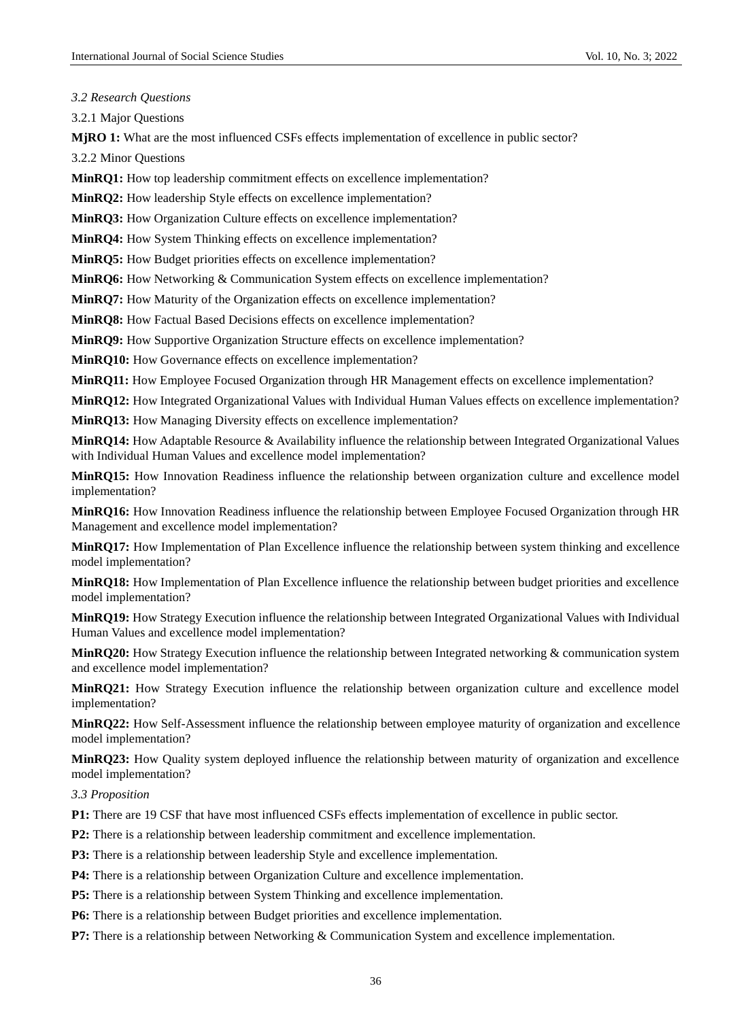*3.2 Research Questions*

3.2.1 Major Questions

**MjRO 1:** What are the most influenced CSFs effects implementation of excellence in public sector?

3.2.2 Minor Questions

**MinRQ1:** How top leadership commitment effects on excellence implementation?

**MinRQ2:** How leadership Style effects on excellence implementation?

**MinRQ3:** How Organization Culture effects on excellence implementation?

**MinRQ4:** How System Thinking effects on excellence implementation?

**MinRQ5:** How Budget priorities effects on excellence implementation?

**MinRQ6:** How Networking & Communication System effects on excellence implementation?

**MinRQ7:** How Maturity of the Organization effects on excellence implementation?

**MinRQ8:** How Factual Based Decisions effects on excellence implementation?

**MinRQ9:** How Supportive Organization Structure effects on excellence implementation?

**MinRQ10:** How Governance effects on excellence implementation?

**MinRO11:** How Employee Focused Organization through HR Management effects on excellence implementation?

**MinRQ12:** How Integrated Organizational Values with Individual Human Values effects on excellence implementation? **MinRQ13:** How Managing Diversity effects on excellence implementation?

**MinRQ14:** How Adaptable Resource & Availability influence the relationship between Integrated Organizational Values with Individual Human Values and excellence model implementation?

**MinRQ15:** How Innovation Readiness influence the relationship between organization culture and excellence model implementation?

**MinRQ16:** How Innovation Readiness influence the relationship between Employee Focused Organization through HR Management and excellence model implementation?

**MinRQ17:** How Implementation of Plan Excellence influence the relationship between system thinking and excellence model implementation?

**MinRQ18:** How Implementation of Plan Excellence influence the relationship between budget priorities and excellence model implementation?

**MinRQ19:** How Strategy Execution influence the relationship between Integrated Organizational Values with Individual Human Values and excellence model implementation?

**MinRQ20:** How Strategy Execution influence the relationship between Integrated networking & communication system and excellence model implementation?

**MinRQ21:** How Strategy Execution influence the relationship between organization culture and excellence model implementation?

**MinRQ22:** How Self-Assessment influence the relationship between employee maturity of organization and excellence model implementation?

**MinRQ23:** How Quality system deployed influence the relationship between maturity of organization and excellence model implementation?

*3.3 Proposition*

**P1:** There are 19 CSF that have most influenced CSFs effects implementation of excellence in public sector.

**P2:** There is a relationship between leadership commitment and excellence implementation.

**P3:** There is a relationship between leadership Style and excellence implementation.

**P4:** There is a relationship between Organization Culture and excellence implementation.

**P5:** There is a relationship between System Thinking and excellence implementation.

P6: There is a relationship between Budget priorities and excellence implementation.

**P7:** There is a relationship between Networking & Communication System and excellence implementation.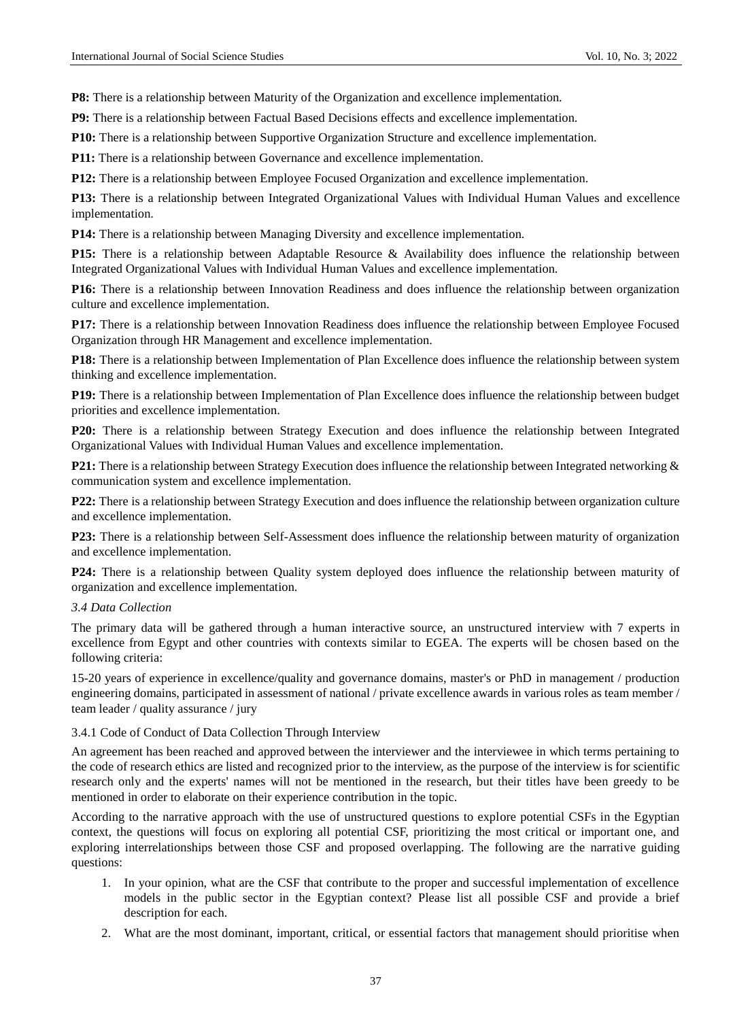**P8:** There is a relationship between Maturity of the Organization and excellence implementation.

**P9:** There is a relationship between Factual Based Decisions effects and excellence implementation.

**P10:** There is a relationship between Supportive Organization Structure and excellence implementation.

**P11:** There is a relationship between Governance and excellence implementation.

P12: There is a relationship between Employee Focused Organization and excellence implementation.

**P13:** There is a relationship between Integrated Organizational Values with Individual Human Values and excellence implementation.

**P14:** There is a relationship between Managing Diversity and excellence implementation.

**P15:** There is a relationship between Adaptable Resource & Availability does influence the relationship between Integrated Organizational Values with Individual Human Values and excellence implementation.

**P16:** There is a relationship between Innovation Readiness and does influence the relationship between organization culture and excellence implementation.

**P17:** There is a relationship between Innovation Readiness does influence the relationship between Employee Focused Organization through HR Management and excellence implementation.

**P18:** There is a relationship between Implementation of Plan Excellence does influence the relationship between system thinking and excellence implementation.

**P19:** There is a relationship between Implementation of Plan Excellence does influence the relationship between budget priorities and excellence implementation.

**P20:** There is a relationship between Strategy Execution and does influence the relationship between Integrated Organizational Values with Individual Human Values and excellence implementation.

P21: There is a relationship between Strategy Execution does influence the relationship between Integrated networking & communication system and excellence implementation.

**P22:** There is a relationship between Strategy Execution and does influence the relationship between organization culture and excellence implementation.

**P23:** There is a relationship between Self-Assessment does influence the relationship between maturity of organization and excellence implementation.

**P24:** There is a relationship between Quality system deployed does influence the relationship between maturity of organization and excellence implementation.

#### *3.4 Data Collection*

The primary data will be gathered through a human interactive source, an unstructured interview with 7 experts in excellence from Egypt and other countries with contexts similar to EGEA. The experts will be chosen based on the following criteria:

15-20 years of experience in excellence/quality and governance domains, master's or PhD in management / production engineering domains, participated in assessment of national / private excellence awards in various roles as team member / team leader / quality assurance / jury

#### 3.4.1 Code of Conduct of Data Collection Through Interview

An agreement has been reached and approved between the interviewer and the interviewee in which terms pertaining to the code of research ethics are listed and recognized prior to the interview, as the purpose of the interview is for scientific research only and the experts' names will not be mentioned in the research, but their titles have been greedy to be mentioned in order to elaborate on their experience contribution in the topic.

According to the narrative approach with the use of unstructured questions to explore potential CSFs in the Egyptian context, the questions will focus on exploring all potential CSF, prioritizing the most critical or important one, and exploring interrelationships between those CSF and proposed overlapping. The following are the narrative guiding questions:

- 1. In your opinion, what are the CSF that contribute to the proper and successful implementation of excellence models in the public sector in the Egyptian context? Please list all possible CSF and provide a brief description for each.
- 2. What are the most dominant, important, critical, or essential factors that management should prioritise when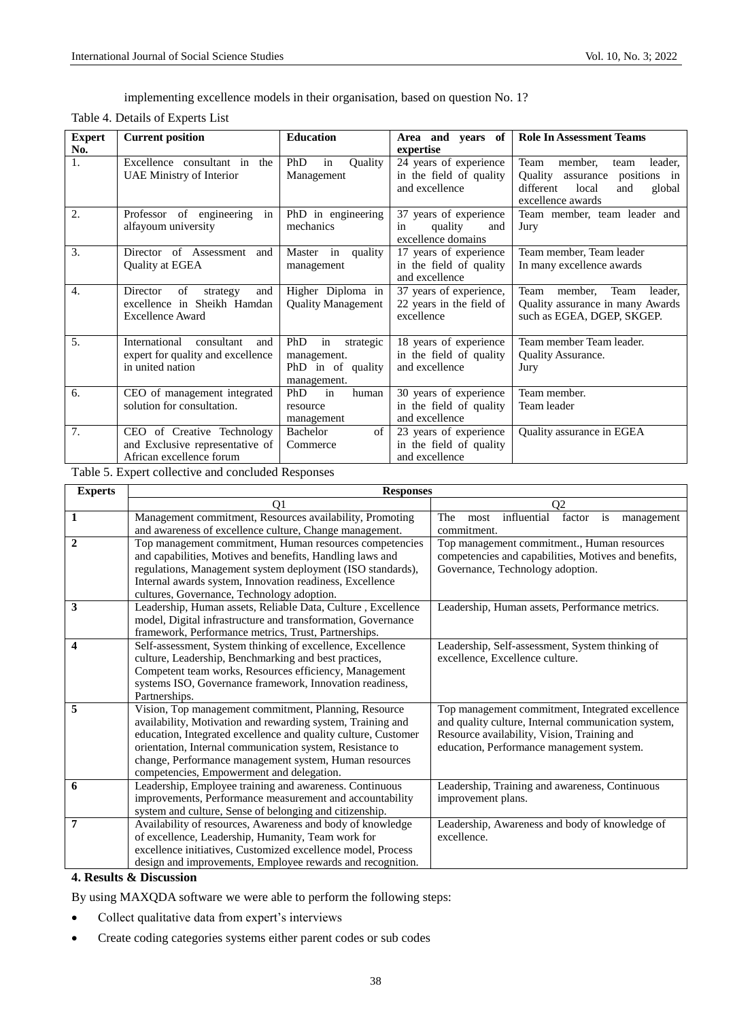implementing excellence models in their organisation, based on question No. 1?

Table 4. Details of Experts List

| <b>Expert</b>    | <b>Current position</b>                                                                     | <b>Education</b>                                                          | Area and years of                                                    | <b>Role In Assessment Teams</b>                                                                                                               |
|------------------|---------------------------------------------------------------------------------------------|---------------------------------------------------------------------------|----------------------------------------------------------------------|-----------------------------------------------------------------------------------------------------------------------------------------------|
| No.              |                                                                                             |                                                                           | expertise                                                            |                                                                                                                                               |
| 1.               | Excellence consultant in the<br><b>UAE Ministry of Interior</b>                             | <b>PhD</b><br>Ouality<br>in<br>Management                                 | 24 years of experience<br>in the field of quality<br>and excellence  | Team<br>member,<br>leader,<br>team<br><b>Ouality</b><br>positions in<br>assurance<br>different<br>local<br>and<br>global<br>excellence awards |
| 2.               | Professor of engineering<br>in<br>alfayoum university                                       | PhD in engineering<br>mechanics                                           | 37 years of experience<br>quality<br>and<br>in<br>excellence domains | Team member, team leader and<br>Jury                                                                                                          |
| 3.               | Director of Assessment and<br>Quality at EGEA                                               | quality<br>Master in<br>management                                        | 17 years of experience<br>in the field of quality<br>and excellence  | Team member, Team leader<br>In many excellence awards                                                                                         |
| $\overline{4}$ . | of<br>Director<br>and<br>strategy<br>excellence in Sheikh Hamdan<br><b>Excellence Award</b> | Higher Diploma in<br><b>Ouality Management</b>                            | 37 years of experience,<br>22 years in the field of<br>excellence    | Team<br>Team<br>member,<br>leader.<br>Quality assurance in many Awards<br>such as EGEA, DGEP, SKGEP.                                          |
| 5.               | International<br>consultant<br>and<br>expert for quality and excellence<br>in united nation | PhD<br>in<br>strategic<br>management.<br>PhD in of quality<br>management. | 18 years of experience<br>in the field of quality<br>and excellence  | Team member Team leader.<br><b>Ouality Assurance.</b><br>Jury                                                                                 |
| 6.               | CEO of management integrated<br>solution for consultation.                                  | in<br>PhD<br>human<br>resource<br>management                              | 30 years of experience<br>in the field of quality<br>and excellence  | Team member.<br>Team leader                                                                                                                   |
| 7.               | CEO of Creative Technology<br>and Exclusive representative of<br>African excellence forum   | Bachelor<br>of<br>Commerce                                                | 23 years of experience<br>in the field of quality<br>and excellence  | Quality assurance in EGEA                                                                                                                     |

Table 5. Expert collective and concluded Responses

| <b>Experts</b> | <b>Responses</b>                                               |                                                          |  |  |
|----------------|----------------------------------------------------------------|----------------------------------------------------------|--|--|
|                | 01                                                             | Q2                                                       |  |  |
| $\mathbf{1}$   | Management commitment, Resources availability, Promoting       | influential<br>The<br>factor<br>is<br>most<br>management |  |  |
|                | and awareness of excellence culture, Change management.        | commitment.                                              |  |  |
| $\mathbf{2}$   | Top management commitment, Human resources competencies        | Top management commitment., Human resources              |  |  |
|                | and capabilities, Motives and benefits, Handling laws and      | competencies and capabilities, Motives and benefits,     |  |  |
|                | regulations, Management system deployment (ISO standards),     | Governance, Technology adoption.                         |  |  |
|                | Internal awards system, Innovation readiness, Excellence       |                                                          |  |  |
|                | cultures, Governance, Technology adoption.                     |                                                          |  |  |
| 3              | Leadership, Human assets, Reliable Data, Culture, Excellence   | Leadership, Human assets, Performance metrics.           |  |  |
|                | model, Digital infrastructure and transformation, Governance   |                                                          |  |  |
|                | framework, Performance metrics, Trust, Partnerships.           |                                                          |  |  |
| 4              | Self-assessment, System thinking of excellence, Excellence     | Leadership, Self-assessment, System thinking of          |  |  |
|                | culture, Leadership, Benchmarking and best practices,          | excellence, Excellence culture.                          |  |  |
|                | Competent team works, Resources efficiency, Management         |                                                          |  |  |
|                | systems ISO, Governance framework, Innovation readiness,       |                                                          |  |  |
|                | Partnerships.                                                  |                                                          |  |  |
| 5              | Vision, Top management commitment, Planning, Resource          | Top management commitment, Integrated excellence         |  |  |
|                | availability, Motivation and rewarding system, Training and    | and quality culture, Internal communication system,      |  |  |
|                | education, Integrated excellence and quality culture, Customer | Resource availability, Vision, Training and              |  |  |
|                | orientation, Internal communication system, Resistance to      | education, Performance management system.                |  |  |
|                | change, Performance management system, Human resources         |                                                          |  |  |
|                | competencies, Empowerment and delegation.                      |                                                          |  |  |
| 6              | Leadership, Employee training and awareness. Continuous        | Leadership, Training and awareness, Continuous           |  |  |
|                | improvements, Performance measurement and accountability       | improvement plans.                                       |  |  |
|                | system and culture, Sense of belonging and citizenship.        |                                                          |  |  |
| 7              | Availability of resources, Awareness and body of knowledge     | Leadership, Awareness and body of knowledge of           |  |  |
|                | of excellence, Leadership, Humanity, Team work for             | excellence.                                              |  |  |
|                | excellence initiatives, Customized excellence model, Process   |                                                          |  |  |
|                | design and improvements, Employee rewards and recognition.     |                                                          |  |  |

## **4. Results & Discussion**

By using MAXQDA software we were able to perform the following steps:

- Collect qualitative data from expert's interviews
- Create coding categories systems either parent codes or sub codes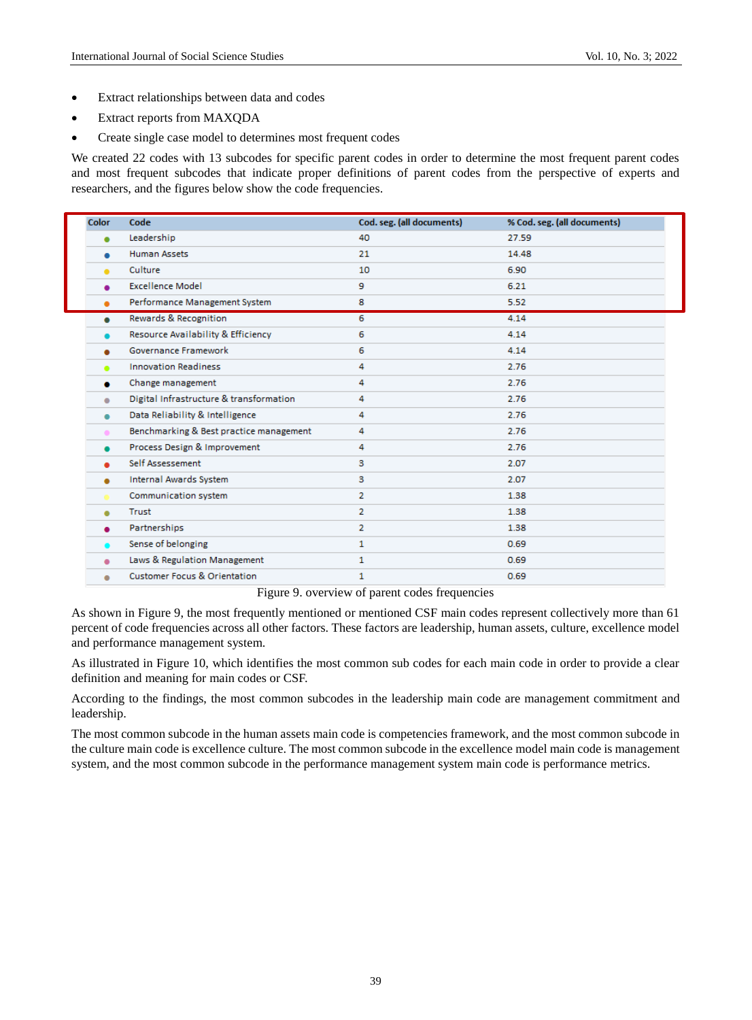- Extract relationships between data and codes
- Extract reports from MAXQDA
- Create single case model to determines most frequent codes

We created 22 codes with 13 subcodes for specific parent codes in order to determine the most frequent parent codes and most frequent subcodes that indicate proper definitions of parent codes from the perspective of experts and researchers, and the figures below show the code frequencies.

| <b>Color</b> | Code                                    | Cod. seg. (all documents) | % Cod. seg. (all documents) |
|--------------|-----------------------------------------|---------------------------|-----------------------------|
|              | Leadership                              | 40                        | 27.59                       |
| $\bullet$    | <b>Human Assets</b>                     | 21                        | 14.48                       |
| ۰            | Culture                                 | 10                        | 6.90                        |
|              | <b>Excellence Model</b>                 | 9                         | 6.21                        |
| ٠            | Performance Management System           | 8                         | 5.52                        |
| $\bullet$    | Rewards & Recognition                   | 6                         | 4.14                        |
|              | Resource Availability & Efficiency      | 6                         | 4.14                        |
| ٠            | Governance Framework                    | 6                         | 4.14                        |
| ۰            | <b>Innovation Readiness</b>             | 4                         | 2.76                        |
|              | Change management                       | 4                         | 2.76                        |
| ۰            | Digital Infrastructure & transformation | 4                         | 2.76                        |
| $\bullet$    | Data Reliability & Intelligence         | 4                         | 2.76                        |
| ٠            | Benchmarking & Best practice management | 4                         | 2.76                        |
|              | Process Design & Improvement            | 4                         | 2.76                        |
|              | Self Assessement                        | 3                         | 2.07                        |
| ٠            | <b>Internal Awards System</b>           | з                         | 2.07                        |
|              | Communication system                    | $\overline{2}$            | 1.38                        |
| ۰            | Trust                                   | $\overline{2}$            | 1.38                        |
|              | Partnerships                            | $\overline{2}$            | 1.38                        |
|              | Sense of belonging                      | $\mathbf{1}$              | 0.69                        |
| ۰            | Laws & Regulation Management            | 1                         | 0.69                        |
| ۰            | <b>Customer Focus &amp; Orientation</b> | 1                         | 0.69                        |
|              |                                         |                           |                             |

Figure 9. overview of parent codes frequencies

As shown in Figure 9, the most frequently mentioned or mentioned CSF main codes represent collectively more than 61 percent of code frequencies across all other factors. These factors are leadership, human assets, culture, excellence model and performance management system.

As illustrated in Figure 10, which identifies the most common sub codes for each main code in order to provide a clear definition and meaning for main codes or CSF.

According to the findings, the most common subcodes in the leadership main code are management commitment and leadership.

The most common subcode in the human assets main code is competencies framework, and the most common subcode in the culture main code is excellence culture. The most common subcode in the excellence model main code is management system, and the most common subcode in the performance management system main code is performance metrics.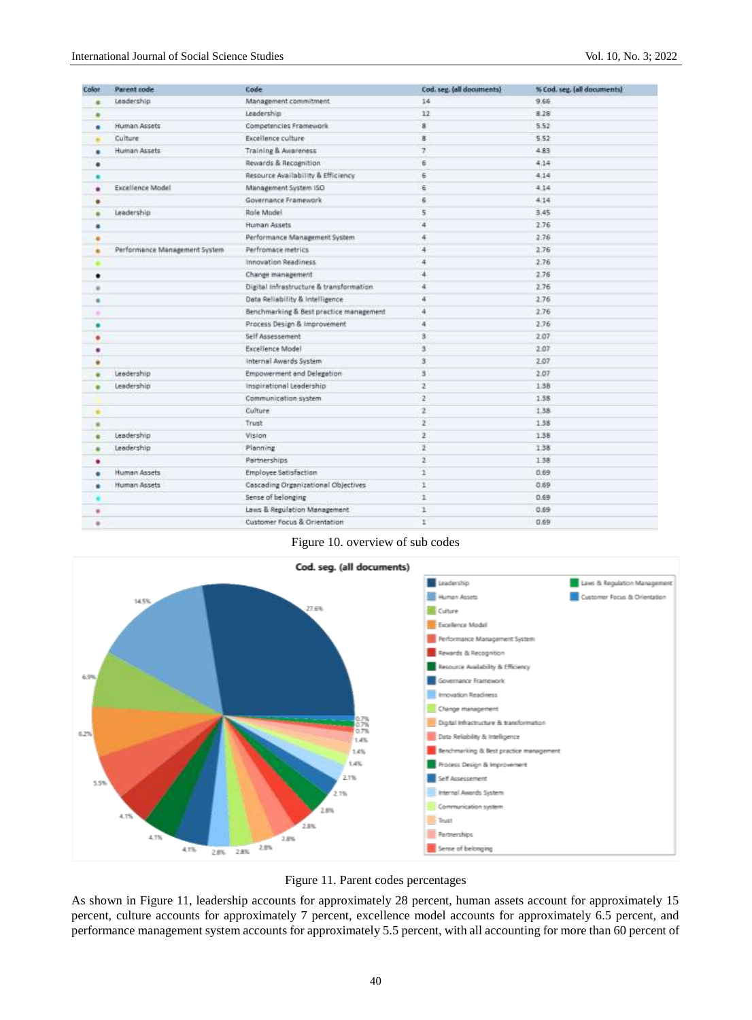| Color | Parent code                   | Code                                    | Cod. seg. (all documents) | % Cod. seg. (all documents) |
|-------|-------------------------------|-----------------------------------------|---------------------------|-----------------------------|
|       | Leadership                    | Management commitment                   | 14                        | 9.66                        |
|       |                               | Leadership                              | 12                        | 8.28                        |
| ٠     | Human Assets                  | Competencies Framework                  | 8                         | 5.52                        |
|       | Culture                       | Excellence culture                      | g.                        | 5.52                        |
| ٠     | Human Assets                  | Training & Awareness                    | $\overline{7}$            | 4.83                        |
| ٠     |                               | Rewards & Recognition                   | 6                         | 4.14                        |
|       |                               | Resource Availability & Efficiency      | 6                         | 4.14                        |
| ۰     | <b>Excellence Model</b>       | Management System ISO                   | 6                         | 4.14                        |
| ۰     |                               | Governance Framework                    | 6                         | 4.14                        |
| ۰     | Leadership                    | Role Model                              | 5                         | 3,45                        |
| ۰     |                               | <b>Human Assets</b>                     | $\overline{a}$            | 2.76                        |
| ۰     |                               | Performance Management System           | 4                         | 2.76                        |
|       | Performance Management System | Perfromace metrics                      | 4                         | 2.76                        |
|       |                               | <b>Innovation Readiness</b>             | 4                         | 2.76                        |
| ٠     |                               | Change management.                      | 4                         | 2.76                        |
| ÷     |                               | Digital Infrastructure & transformation | 4                         | 2.76                        |
| ۰     |                               | Data Reliability & Intelligence         | ă                         | 2.76                        |
| ٠     |                               | Benchmarking & Best practice management | 4                         | 2.76                        |
|       |                               | Process Design & Improvement            | $\overline{a}$            | 2.76                        |
| ٠     |                               | Self Assessement                        | $\mathbf{B}$              | 2.07                        |
| ٠     |                               | Excellence Model                        | $\mathbf{3}$              | 2.07                        |
|       |                               | Internal Awards System                  | $\mathbf{3}$              | 2.07                        |
|       | Leadership                    | Empowerment and Delegation              | $\overline{\mathbf{3}}$   | 2.07                        |
|       | Leadership                    | Inspirational Leadership                | $\mathbf{z}$              | 1.38                        |
|       |                               | Communication system                    | $\mathbf{2}$              | 1.38                        |
| ٠     |                               | Culture                                 | $\overline{2}$            | 1.38                        |
| ٠     |                               | Trust                                   | $\mathbf{2}^{\circ}$      | 1.38                        |
| ٠     | Leadership                    | Vision.                                 | $\overline{z}$            | 1.38                        |
|       | Leadership                    | Planning                                | ž                         | 1.38                        |
| ٠     |                               | Partnerships                            | $\overline{2}$            | 1.38                        |
|       | Human Assets                  | Employee Satisfaction                   | 1                         | 0.69.                       |
|       | Human Assets                  | Cascading Organizational Objectives     | ı                         | 0.69                        |
|       |                               | Sense of belonging                      | 1                         | 0.69                        |
| ٠     |                               | Laws & Regulation Management            | ı                         | 0.69                        |
| ٠     |                               | Customer Focus & Orientation            | ı                         | 0.69                        |

Figure 10. overview of sub codes





As shown in Figure 11, leadership accounts for approximately 28 percent, human assets account for approximately 15 percent, culture accounts for approximately 7 percent, excellence model accounts for approximately 6.5 percent, and performance management system accounts for approximately 5.5 percent, with all accounting for more than 60 percent of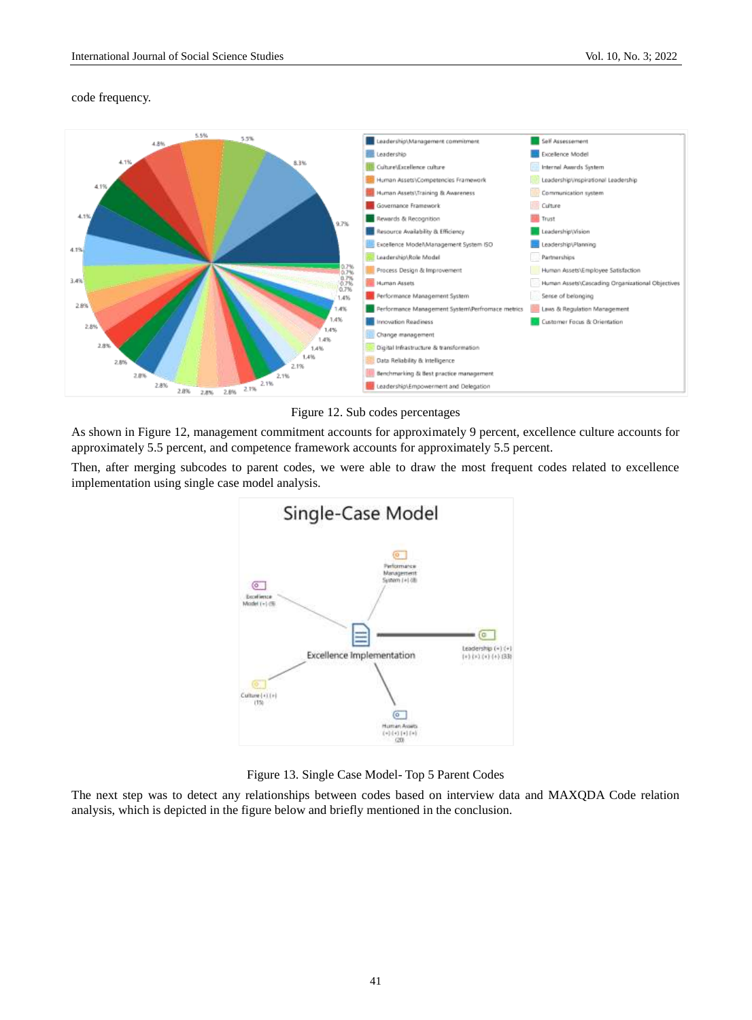## code frequency.



Figure 12. Sub codes percentages

As shown in Figure 12, management commitment accounts for approximately 9 percent, excellence culture accounts for approximately 5.5 percent, and competence framework accounts for approximately 5.5 percent.

Then, after merging subcodes to parent codes, we were able to draw the most frequent codes related to excellence implementation using single case model analysis.



Figure 13. Single Case Model- Top 5 Parent Codes

The next step was to detect any relationships between codes based on interview data and MAXQDA Code relation analysis, which is depicted in the figure below and briefly mentioned in the conclusion.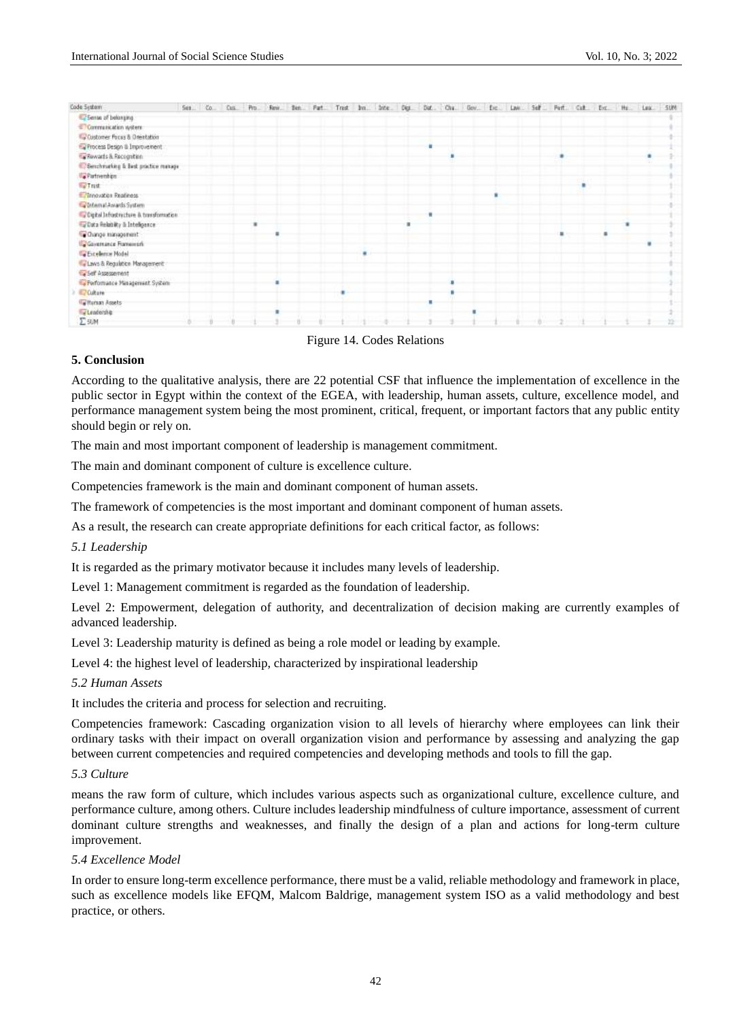

Figure 14. Codes Relations

#### **5. Conclusion**

According to the qualitative analysis, there are 22 potential CSF that influence the implementation of excellence in the public sector in Egypt within the context of the EGEA, with leadership, human assets, culture, excellence model, and performance management system being the most prominent, critical, frequent, or important factors that any public entity should begin or rely on.

The main and most important component of leadership is management commitment.

The main and dominant component of culture is excellence culture.

Competencies framework is the main and dominant component of human assets.

The framework of competencies is the most important and dominant component of human assets.

As a result, the research can create appropriate definitions for each critical factor, as follows:

#### *5.1 Leadership*

It is regarded as the primary motivator because it includes many levels of leadership.

Level 1: Management commitment is regarded as the foundation of leadership.

Level 2: Empowerment, delegation of authority, and decentralization of decision making are currently examples of advanced leadership.

Level 3: Leadership maturity is defined as being a role model or leading by example.

Level 4: the highest level of leadership, characterized by inspirational leadership

#### *5.2 Human Assets*

It includes the criteria and process for selection and recruiting.

Competencies framework: Cascading organization vision to all levels of hierarchy where employees can link their ordinary tasks with their impact on overall organization vision and performance by assessing and analyzing the gap between current competencies and required competencies and developing methods and tools to fill the gap.

#### *5.3 Culture*

means the raw form of culture, which includes various aspects such as organizational culture, excellence culture, and performance culture, among others. Culture includes leadership mindfulness of culture importance, assessment of current dominant culture strengths and weaknesses, and finally the design of a plan and actions for long-term culture improvement.

#### *5.4 Excellence Model*

In order to ensure long-term excellence performance, there must be a valid, reliable methodology and framework in place, such as excellence models like EFQM, Malcom Baldrige, management system ISO as a valid methodology and best practice, or others.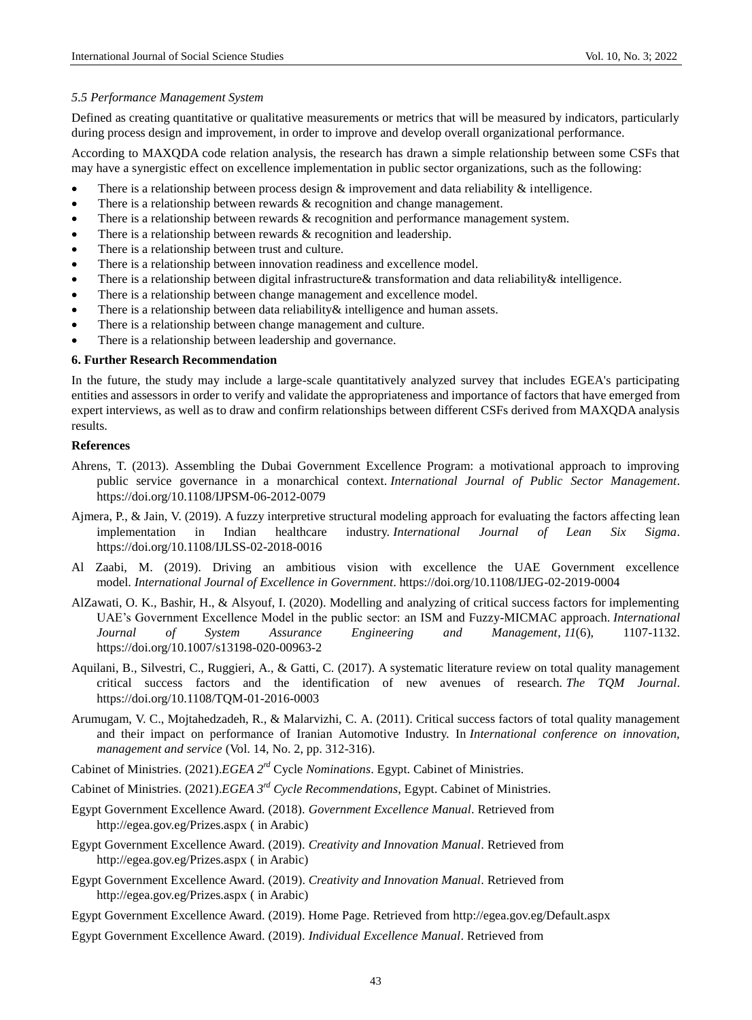#### *5.5 Performance Management System*

Defined as creating quantitative or qualitative measurements or metrics that will be measured by indicators, particularly during process design and improvement, in order to improve and develop overall organizational performance.

According to MAXQDA code relation analysis, the research has drawn a simple relationship between some CSFs that may have a synergistic effect on excellence implementation in public sector organizations, such as the following:

- There is a relationship between process design  $\&$  improvement and data reliability  $\&$  intelligence.
- There is a relationship between rewards & recognition and change management.
- There is a relationship between rewards & recognition and performance management system.
- There is a relationship between rewards & recognition and leadership.
- There is a relationship between trust and culture.
- There is a relationship between innovation readiness and excellence model.
- There is a relationship between digital infrastructure& transformation and data reliability& intelligence.
- There is a relationship between change management and excellence model.
- There is a relationship between data reliability & intelligence and human assets.
- There is a relationship between change management and culture.
- There is a relationship between leadership and governance.

#### **6. Further Research Recommendation**

In the future, the study may include a large-scale quantitatively analyzed survey that includes EGEA's participating entities and assessors in order to verify and validate the appropriateness and importance of factors that have emerged from expert interviews, as well as to draw and confirm relationships between different CSFs derived from MAXQDA analysis results.

#### **References**

- Ahrens, T. (2013). Assembling the Dubai Government Excellence Program: a motivational approach to improving public service governance in a monarchical context. *International Journal of Public Sector Management*. https://doi.org/10.1108/IJPSM-06-2012-0079
- Ajmera, P., & Jain, V. (2019). A fuzzy interpretive structural modeling approach for evaluating the factors affecting lean implementation in Indian healthcare industry. *International Journal of Lean Six Sigma*. https://doi.org/10.1108/IJLSS-02-2018-0016
- Al Zaabi, M. (2019). Driving an ambitious vision with excellence the UAE Government excellence model. *International Journal of Excellence in Government*. https://doi.org/10.1108/IJEG-02-2019-0004
- AlZawati, O. K., Bashir, H., & Alsyouf, I. (2020). Modelling and analyzing of critical success factors for implementing UAE's Government Excellence Model in the public sector: an ISM and Fuzzy-MICMAC approach. *International Journal of System Assurance Engineering and Management*, *11*(6), 1107-1132. https://doi.org/10.1007/s13198-020-00963-2
- Aquilani, B., Silvestri, C., Ruggieri, A., & Gatti, C. (2017). A systematic literature review on total quality management critical success factors and the identification of new avenues of research. *The TQM Journal*. https://doi.org/10.1108/TQM-01-2016-0003
- Arumugam, V. C., Mojtahedzadeh, R., & Malarvizhi, C. A. (2011). Critical success factors of total quality management and their impact on performance of Iranian Automotive Industry. In *International conference on innovation, management and service* (Vol. 14, No. 2, pp. 312-316).
- Cabinet of Ministries. (2021).*EGEA 2rd* Cycle *Nominations*. Egypt. Cabinet of Ministries.
- Cabinet of Ministries. (2021).*EGEA 3rd Cycle Recommendations*, Egypt. Cabinet of Ministries.
- Egypt Government Excellence Award. (2018). *Government Excellence Manual*. Retrieved from <http://egea.gov.eg/Prizes.aspx> ( in Arabic)
- Egypt Government Excellence Award. (2019). *Creativity and Innovation Manual*. Retrieved from <http://egea.gov.eg/Prizes.aspx> ( in Arabic)
- Egypt Government Excellence Award. (2019). *Creativity and Innovation Manual*. Retrieved from <http://egea.gov.eg/Prizes.aspx> ( in Arabic)
- Egypt Government Excellence Award. (2019). Home Page. Retrieved from<http://egea.gov.eg/Default.aspx>
- Egypt Government Excellence Award. (2019). *Individual Excellence Manual*. Retrieved from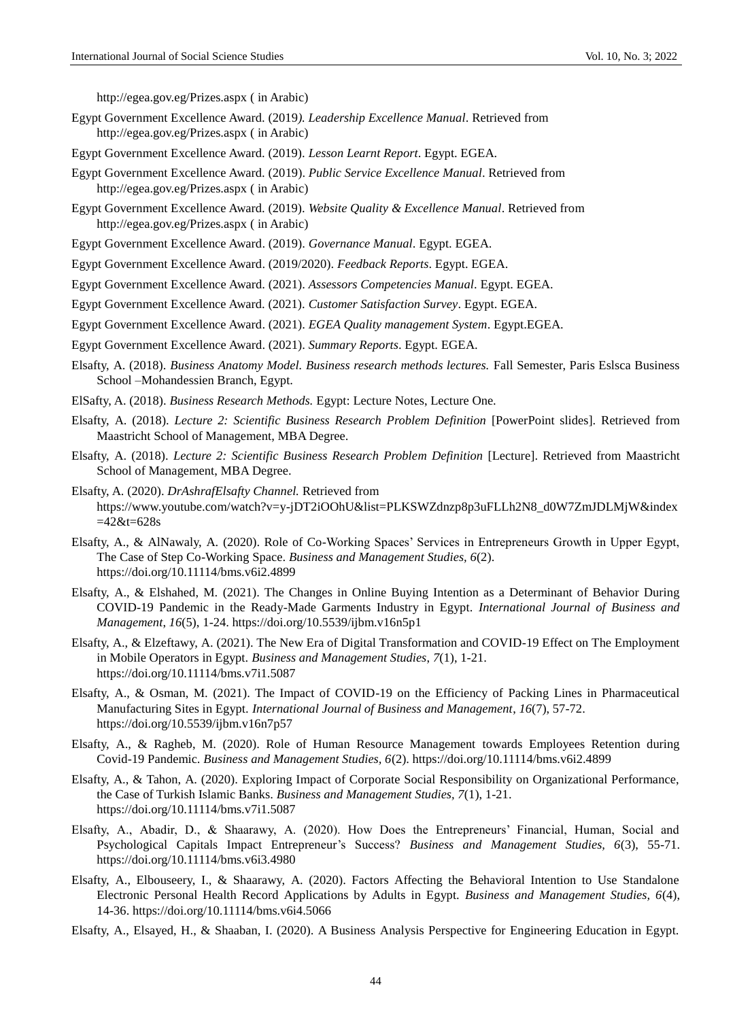<http://egea.gov.eg/Prizes.aspx> ( in Arabic)

- Egypt Government Excellence Award. (2019*). Leadership Excellence Manual*. Retrieved from <http://egea.gov.eg/Prizes.aspx> ( in Arabic)
- Egypt Government Excellence Award. (2019). *Lesson Learnt Report*. Egypt. EGEA.
- Egypt Government Excellence Award. (2019). *Public Service Excellence Manual*. Retrieved from <http://egea.gov.eg/Prizes.aspx> ( in Arabic)
- Egypt Government Excellence Award. (2019). *Website Quality & Excellence Manual*. Retrieved from <http://egea.gov.eg/Prizes.aspx> ( in Arabic)
- Egypt Government Excellence Award. (2019). *Governance Manual*. Egypt. EGEA.
- Egypt Government Excellence Award. (2019/2020). *Feedback Reports*. Egypt. EGEA.

Egypt Government Excellence Award. (2021). *Assessors Competencies Manual*. Egypt. EGEA.

- Egypt Government Excellence Award. (2021). *Customer Satisfaction Survey*. Egypt. EGEA.
- Egypt Government Excellence Award. (2021). *EGEA Quality management System*. Egypt.EGEA.
- Egypt Government Excellence Award. (2021). *Summary Reports*. Egypt. EGEA.
- Elsafty, A. (2018). *Business Anatomy Model. Business research methods lectures.* Fall Semester, Paris Eslsca Business School –Mohandessien Branch, Egypt.
- ElSafty, A. (2018). *Business Research Methods.* Egypt: Lecture Notes, Lecture One.
- Elsafty, A. (2018). *Lecture 2: Scientific Business Research Problem Definition* [PowerPoint slides]. Retrieved from Maastricht School of Management, MBA Degree.
- Elsafty, A. (2018). *Lecture 2: Scientific Business Research Problem Definition* [Lecture]. Retrieved from Maastricht School of Management, MBA Degree.
- Elsafty, A. (2020). *DrAshrafElsafty Channel.* Retrieved from https://www.youtube.com/watch?v=y-jDT2iOOhU&list=PLKSWZdnzp8p3uFLLh2N8\_d0W7ZmJDLMjW&index  $=42$ &t=628s
- Elsafty, A., & AlNawaly, A. (2020). Role of Co-Working Spaces' Services in Entrepreneurs Growth in Upper Egypt, The Case of Step Co-Working Space. *Business and Management Studies, 6*(2). https://doi.org/10.11114/bms.v6i2.4899
- Elsafty, A., & Elshahed, M. (2021). The Changes in Online Buying Intention as a Determinant of Behavior During COVID-19 Pandemic in the Ready-Made Garments Industry in Egypt. *International Journal of Business and Management*, *16*(5), 1-24. https://doi.org/10.5539/ijbm.v16n5p1
- Elsafty, A., & Elzeftawy, A. (2021). The New Era of Digital Transformation and COVID-19 Effect on The Employment in Mobile Operators in Egypt. *Business and Management Studies*, *7*(1), 1-21. https://doi.org/10.11114/bms.v7i1.5087
- Elsafty, A., & Osman, M. (2021). The Impact of COVID-19 on the Efficiency of Packing Lines in Pharmaceutical Manufacturing Sites in Egypt. *International Journal of Business and Management*, *16*(7), 57-72. https://doi.org/10.5539/ijbm.v16n7p57
- Elsafty, A., & Ragheb, M. (2020). Role of Human Resource Management towards Employees Retention during Covid-19 Pandemic. *Business and Management Studies, 6*(2). https://doi.org/10.11114/bms.v6i2.4899
- Elsafty, A., & Tahon, A. (2020). Exploring Impact of Corporate Social Responsibility on Organizational Performance, the Case of Turkish Islamic Banks. *Business and Management Studies, 7*(1), 1-21. https://doi.org/10.11114/bms.v7i1.5087
- Elsafty, A., Abadir, D., & Shaarawy, A. (2020). How Does the Entrepreneurs' Financial, Human, Social and Psychological Capitals Impact Entrepreneur's Success? *Business and Management Studies, 6*(3), 55-71. https://doi.org/10.11114/bms.v6i3.4980
- Elsafty, A., Elbouseery, I., & Shaarawy, A. (2020). Factors Affecting the Behavioral Intention to Use Standalone Electronic Personal Health Record Applications by Adults in Egypt. *Business and Management Studies, 6*(4), 14-36. https://doi.org/10.11114/bms.v6i4.5066
- Elsafty, A., Elsayed, H., & Shaaban, I. (2020). A Business Analysis Perspective for Engineering Education in Egypt.